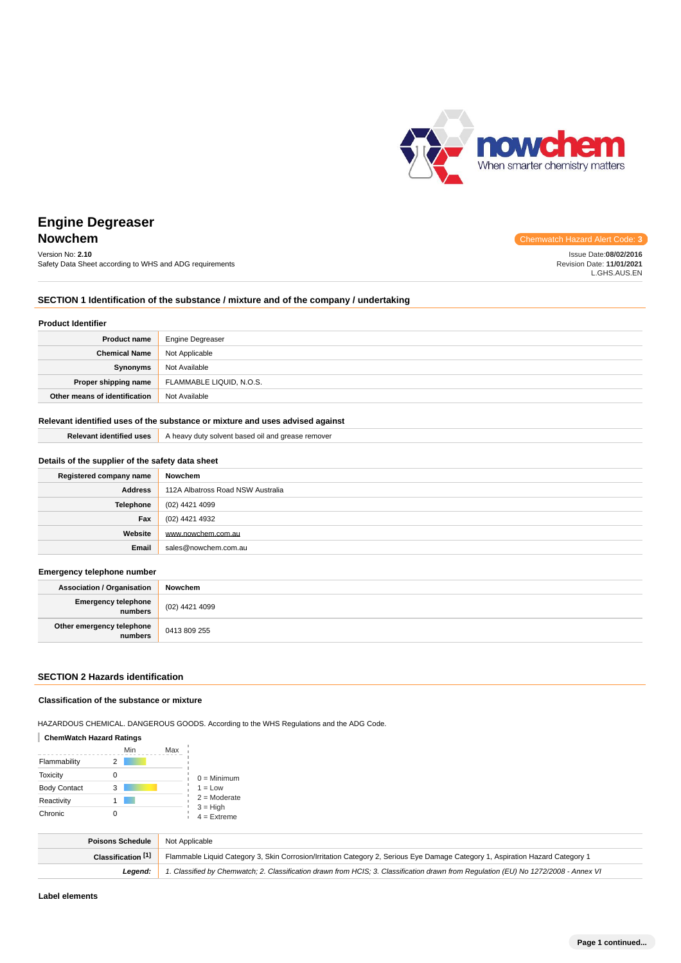

Issue Date:**08/02/2016** Revision Date: **11/01/2021** L.GHS.AUS.EN

# **Engine Degreaser Nowchem** Chemwatch Hazard Alert Code: **3**

# Version No: **2.10**

Safety Data Sheet according to WHS and ADG requirements

# **SECTION 1 Identification of the substance / mixture and of the company / undertaking**

#### **Product Identifier**

| <b>Product name</b>           | Engine Degreaser         |
|-------------------------------|--------------------------|
| <b>Chemical Name</b>          | Not Applicable           |
| Synonyms                      | Not Available            |
| Proper shipping name          | FLAMMABLE LIQUID, N.O.S. |
| Other means of identification | Not Available            |

## **Relevant identified uses of the substance or mixture and uses advised against**

| <b>Relevant identified uses</b>                  | A heavy duty solvent based oil and grease remover |  |
|--------------------------------------------------|---------------------------------------------------|--|
| Details of the supplier of the safety data sheet |                                                   |  |
| Registered company name                          | Nowchem                                           |  |
| <b>Address</b>                                   | 112A Albatross Road NSW Australia                 |  |
| <b>Telephone</b>                                 | (02) 4421 4099                                    |  |
| Fax                                              | (02) 4421 4932                                    |  |
| Website                                          | www.nowchem.com.au                                |  |
| Email                                            | sales@nowchem.com.au                              |  |

### **Emergency telephone number**

| <b>Association / Organisation</b>    | Nowchem        |
|--------------------------------------|----------------|
| Emergency telephone<br>  numbers     | (02) 4421 4099 |
| Other emergency telephone<br>numbers | 0413 809 255   |

## **SECTION 2 Hazards identification**

### **Classification of the substance or mixture**

HAZARDOUS CHEMICAL. DANGEROUS GOODS. According to the WHS Regulations and the ADG Code.

### **ChemWatch Hazard Ratings**

|                     |   | Min | Max |                             |
|---------------------|---|-----|-----|-----------------------------|
| Flammability        |   |     |     |                             |
| <b>Toxicity</b>     |   |     |     | $0 =$ Minimum               |
| <b>Body Contact</b> | 3 |     |     | $1 = Low$                   |
| Reactivity          |   |     |     | $2 =$ Moderate              |
| Chronic             |   |     |     | $3 = High$<br>$4 =$ Extreme |

| Poisons Schedule   | Not Applicable                                                                                                                      |
|--------------------|-------------------------------------------------------------------------------------------------------------------------------------|
| Classification [1] | Flammable Liquid Category 3, Skin Corrosion/Irritation Category 2, Serious Eye Damage Category 1, Aspiration Hazard Category 1      |
| Leaend:            | 1. Classified by Chemwatch; 2. Classification drawn from HCIS; 3. Classification drawn from Requlation (EU) No 1272/2008 - Annex VI |

**Label elements**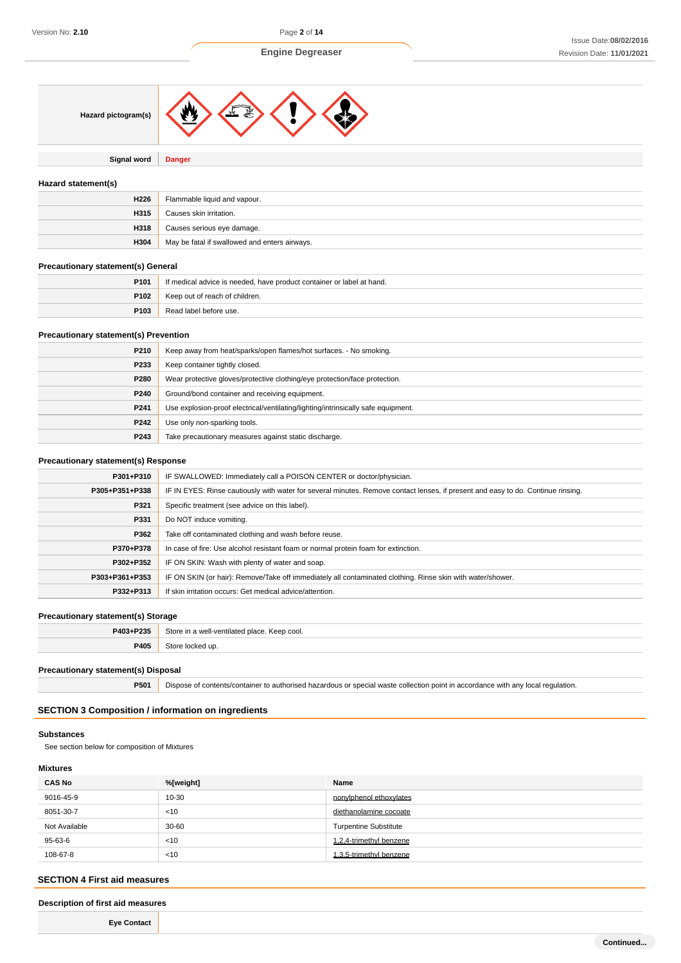

**Signal word Danger**

## **Hazard statement(s)**

| H226 | Flammable liquid and vapour.                  |
|------|-----------------------------------------------|
| H315 | Causes skin irritation.                       |
| H318 | Causes serious eye damage.                    |
| H304 | May be fatal if swallowed and enters airways. |

## **Precautionary statement(s) General**

| P <sub>101</sub> | If medical advice is needed, have product container or label at hand. |
|------------------|-----------------------------------------------------------------------|
| P102             | Keep out of reach of children.                                        |
| P103             | Read label before use.                                                |

# **Precautionary statement(s) Prevention**

| P210 | Keep away from heat/sparks/open flames/hot surfaces. - No smoking.                |
|------|-----------------------------------------------------------------------------------|
| P233 | Keep container tightly closed.                                                    |
| P280 | Wear protective gloves/protective clothing/eye protection/face protection.        |
| P240 | Ground/bond container and receiving equipment.                                    |
| P241 | Use explosion-proof electrical/ventilating/lighting/intrinsically safe equipment. |
| P242 | Use only non-sparking tools.                                                      |
| P243 | Take precautionary measures against static discharge.                             |

## **Precautionary statement(s) Response**

| P301+P310      | IF SWALLOWED: Immediately call a POISON CENTER or doctor/physician.                                                              |  |  |
|----------------|----------------------------------------------------------------------------------------------------------------------------------|--|--|
| P305+P351+P338 | IF IN EYES: Rinse cautiously with water for several minutes. Remove contact lenses, if present and easy to do. Continue rinsing. |  |  |
| P321           | Specific treatment (see advice on this label).                                                                                   |  |  |
| P331           | Do NOT induce vomiting.                                                                                                          |  |  |
| P362           | Take off contaminated clothing and wash before reuse.                                                                            |  |  |
| P370+P378      | In case of fire: Use alcohol resistant foam or normal protein foam for extinction.                                               |  |  |
| P302+P352      | IF ON SKIN: Wash with plenty of water and soap.                                                                                  |  |  |
| P303+P361+P353 | IF ON SKIN (or hair): Remove/Take off immediately all contaminated clothing. Rinse skin with water/shower.                       |  |  |
| P332+P313      | If skin irritation occurs: Get medical advice/attention.                                                                         |  |  |

## **Precautionary statement(s) Storage**

| P403+P235 | Store in a well-ventilated place. Keep cool. |
|-----------|----------------------------------------------|
| P405      | Store locked up.                             |
|           |                                              |

## **Precautionary statement(s) Disposal**

**P501** Dispose of contents/container to authorised hazardous or special waste collection point in accordance with any local regulation.

# **SECTION 3 Composition / information on ingredients**

#### **Substances**

See section below for composition of Mixtures

# **Mixtures**

| <b>CAS No</b> | %[weight] | Name                         |
|---------------|-----------|------------------------------|
| 9016-45-9     | 10-30     | nonylphenol ethoxylates      |
| 8051-30-7     | < 10      | diethanolamine cocoate       |
| Not Available | $30 - 60$ | <b>Turpentine Substitute</b> |
| 95-63-6       | < 10      | 1.2.4-trimethyl benzene      |
| 108-67-8      | < 10      | 1.3.5-trimethyl benzene      |

## **SECTION 4 First aid measures**

## **Description of first aid measures**

**Eye Contact**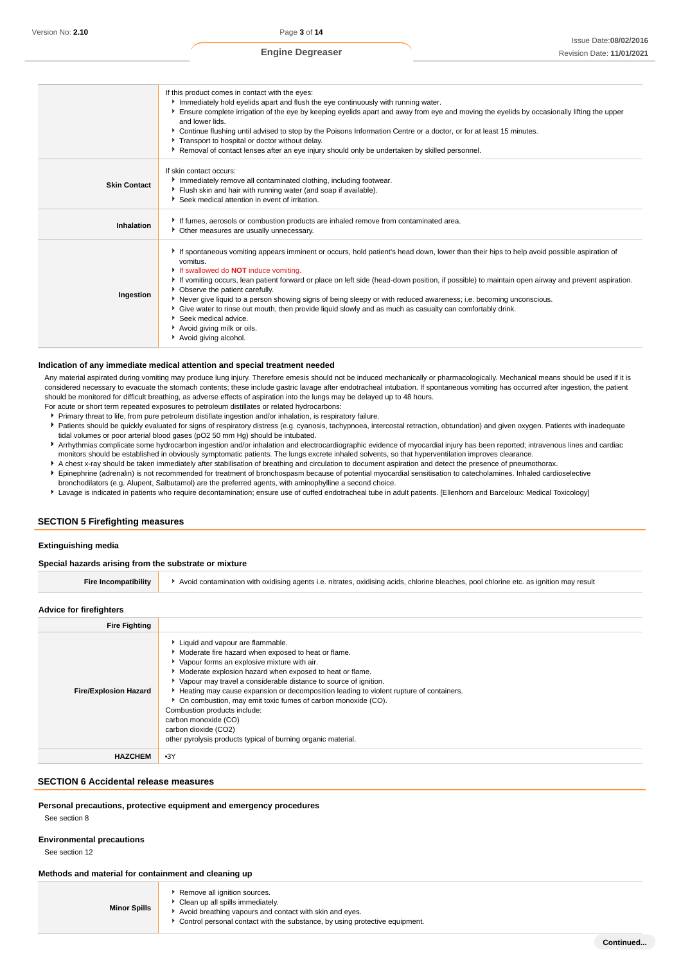|                     | If this product comes in contact with the eyes:<br>Immediately hold eyelids apart and flush the eye continuously with running water.<br>Ensure complete irrigation of the eye by keeping eyelids apart and away from eye and moving the eyelids by occasionally lifting the upper<br>and lower lids.<br>▶ Continue flushing until advised to stop by the Poisons Information Centre or a doctor, or for at least 15 minutes.<br>Transport to hospital or doctor without delay.<br>▶ Removal of contact lenses after an eye injury should only be undertaken by skilled personnel.                                                                                                                               |
|---------------------|-----------------------------------------------------------------------------------------------------------------------------------------------------------------------------------------------------------------------------------------------------------------------------------------------------------------------------------------------------------------------------------------------------------------------------------------------------------------------------------------------------------------------------------------------------------------------------------------------------------------------------------------------------------------------------------------------------------------|
| <b>Skin Contact</b> | If skin contact occurs:<br>Immediately remove all contaminated clothing, including footwear.<br>Flush skin and hair with running water (and soap if available).<br>Seek medical attention in event of irritation.                                                                                                                                                                                                                                                                                                                                                                                                                                                                                               |
| Inhalation          | If fumes, aerosols or combustion products are inhaled remove from contaminated area.<br>• Other measures are usually unnecessary.                                                                                                                                                                                                                                                                                                                                                                                                                                                                                                                                                                               |
| Ingestion           | If spontaneous vomiting appears imminent or occurs, hold patient's head down, lower than their hips to help avoid possible aspiration of<br>vomitus.<br>If swallowed do <b>NOT</b> induce vomiting.<br>If vomiting occurs, lean patient forward or place on left side (head-down position, if possible) to maintain open airway and prevent aspiration.<br>• Observe the patient carefully.<br>Never give liquid to a person showing signs of being sleepy or with reduced awareness; i.e. becoming unconscious.<br>• Give water to rinse out mouth, then provide liquid slowly and as much as casualty can comfortably drink.<br>▶ Seek medical advice.<br>Avoid giving milk or oils.<br>Avoid giving alcohol. |

### **Indication of any immediate medical attention and special treatment needed**

Any material aspirated during vomiting may produce lung injury. Therefore emesis should not be induced mechanically or pharmacologically. Mechanical means should be used if it is considered necessary to evacuate the stomach contents; these include gastric lavage after endotracheal intubation. If spontaneous vomiting has occurred after ingestion, the patient should be monitored for difficult breathing, as adverse effects of aspiration into the lungs may be delayed up to 48 hours.

- For acute or short term repeated exposures to petroleum distillates or related hydrocarbons: Primary threat to life, from pure petroleum distillate ingestion and/or inhalation, is respiratory failure.
- Patients should be quickly evaluated for signs of respiratory distress (e.g. cyanosis, tachypnoea, intercostal retraction, obtundation) and given oxygen. Patients with inadequate tidal volumes or poor arterial blood gases (pO2 50 mm Hg) should be intubated.
- Arrhythmias complicate some hydrocarbon ingestion and/or inhalation and electrocardiographic evidence of myocardial injury has been reported; intravenous lines and cardiac monitors should be established in obviously symptomatic patients. The lungs excrete inhaled solvents, so that hyperventilation improves clearance.
- A chest x-ray should be taken immediately after stabilisation of breathing and circulation to document aspiration and detect the presence of pneumothorax.
- Epinephrine (adrenalin) is not recommended for treatment of bronchospasm because of potential myocardial sensitisation to catecholamines. Inhaled cardioselective
- bronchodilators (e.g. Alupent, Salbutamol) are the preferred agents, with aminophylline a second choice.
- Lavage is indicated in patients who require decontamination; ensure use of cuffed endotracheal tube in adult patients. [Ellenhorn and Barceloux: Medical Toxicology]

## **SECTION 5 Firefighting measures**

## **Extinguishing media**

#### **Special hazards arising from the substrate or mixture**

| <b>Fire Incompatibility</b> | Avoid contamination with oxidising agents i.e. nitrates, oxidising acids, chlorine bleaches, pool chlorine etc. as ignition may result |  |  |
|-----------------------------|----------------------------------------------------------------------------------------------------------------------------------------|--|--|
|-----------------------------|----------------------------------------------------------------------------------------------------------------------------------------|--|--|

### **Advice for firefighters**

| <b>Fire Fighting</b>         |                                                                                                                                                                                                                                                                                                                                                                                                                                                                                                                                                                                       |
|------------------------------|---------------------------------------------------------------------------------------------------------------------------------------------------------------------------------------------------------------------------------------------------------------------------------------------------------------------------------------------------------------------------------------------------------------------------------------------------------------------------------------------------------------------------------------------------------------------------------------|
| <b>Fire/Explosion Hazard</b> | Liquid and vapour are flammable.<br>Moderate fire hazard when exposed to heat or flame.<br>Vapour forms an explosive mixture with air.<br>Moderate explosion hazard when exposed to heat or flame.<br>▶ Vapour may travel a considerable distance to source of ignition.<br>Heating may cause expansion or decomposition leading to violent rupture of containers.<br>• On combustion, may emit toxic fumes of carbon monoxide (CO).<br>Combustion products include:<br>carbon monoxide (CO)<br>carbon dioxide (CO2)<br>other pyrolysis products typical of burning organic material. |
| <b>HAZCHEM</b>               | $-3Y$                                                                                                                                                                                                                                                                                                                                                                                                                                                                                                                                                                                 |

# **SECTION 6 Accidental release measures**

### **Personal precautions, protective equipment and emergency procedures**

See section 8

### **Environmental precautions**

See section 12

# **Methods and material for containment and cleaning up**

| <b>Minor Spills</b> | Remove all ignition sources.<br>Clean up all spills immediately.<br>Avoid breathing vapours and contact with skin and eyes.<br>► Control personal contact with the substance, by using protective equipment. |
|---------------------|--------------------------------------------------------------------------------------------------------------------------------------------------------------------------------------------------------------|
|---------------------|--------------------------------------------------------------------------------------------------------------------------------------------------------------------------------------------------------------|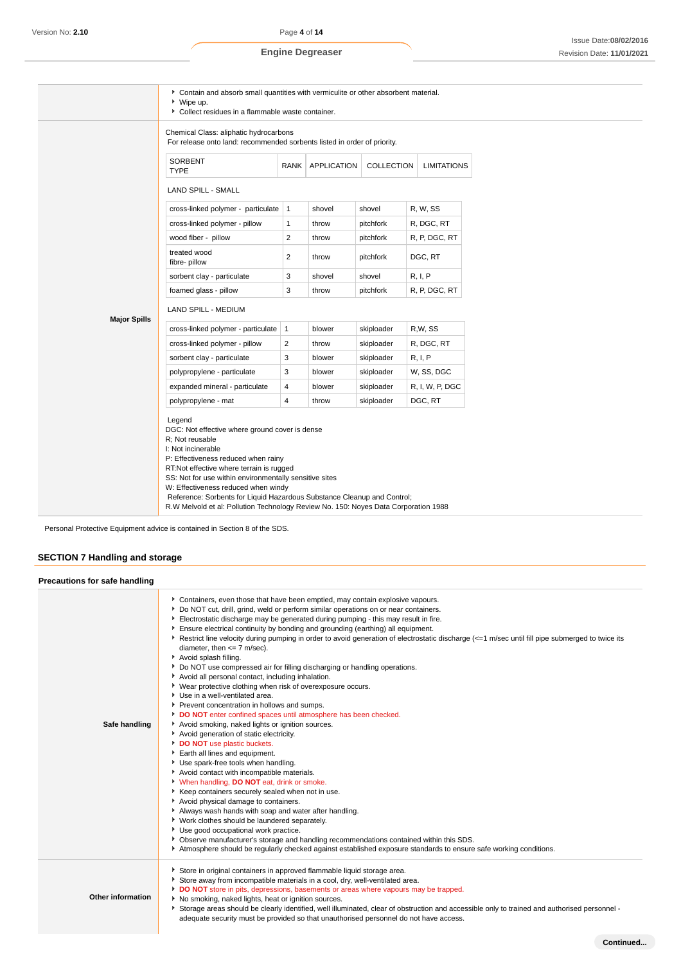|                     | ▶ Contain and absorb small quantities with vermiculite or other absorbent material.<br>▶ Wipe up.<br>Collect residues in a flammable waste container.                                                                                                                                                                                                            |                |                    |            |                    |  |
|---------------------|------------------------------------------------------------------------------------------------------------------------------------------------------------------------------------------------------------------------------------------------------------------------------------------------------------------------------------------------------------------|----------------|--------------------|------------|--------------------|--|
|                     | Chemical Class: aliphatic hydrocarbons<br>For release onto land: recommended sorbents listed in order of priority.                                                                                                                                                                                                                                               |                |                    |            |                    |  |
|                     | SORBENT<br><b>TYPE</b>                                                                                                                                                                                                                                                                                                                                           |                | RANK   APPLICATION | COLLECTION | <b>LIMITATIONS</b> |  |
|                     | LAND SPILL - SMALL                                                                                                                                                                                                                                                                                                                                               |                |                    |            |                    |  |
|                     | cross-linked polymer - particulate   1                                                                                                                                                                                                                                                                                                                           |                | shovel             | shovel     | R, W, SS           |  |
|                     | cross-linked polymer - pillow                                                                                                                                                                                                                                                                                                                                    | $\mathbf{1}$   | throw              | pitchfork  | R, DGC, RT         |  |
|                     | wood fiber - pillow                                                                                                                                                                                                                                                                                                                                              | $\overline{2}$ | throw              | pitchfork  | R, P, DGC, RT      |  |
|                     | treated wood<br>fibre-pillow                                                                                                                                                                                                                                                                                                                                     | $\overline{2}$ | throw              | pitchfork  | DGC, RT            |  |
|                     | sorbent clay - particulate                                                                                                                                                                                                                                                                                                                                       | 3              | shovel             | shovel     | R, I, P            |  |
|                     | foamed glass - pillow                                                                                                                                                                                                                                                                                                                                            | 3              | throw              | pitchfork  | R, P, DGC, RT      |  |
| <b>Major Spills</b> | LAND SPILL - MEDIUM                                                                                                                                                                                                                                                                                                                                              |                |                    |            |                    |  |
|                     | cross-linked polymer - particulate                                                                                                                                                                                                                                                                                                                               | $\vert$ 1      | blower             | skiploader | R.W. SS            |  |
|                     | cross-linked polymer - pillow                                                                                                                                                                                                                                                                                                                                    | $\overline{2}$ | throw              | skiploader | R, DGC, RT         |  |
|                     | sorbent clay - particulate                                                                                                                                                                                                                                                                                                                                       | 3              | blower             | skiploader | R, I, P            |  |
|                     | polypropylene - particulate                                                                                                                                                                                                                                                                                                                                      | 3              | blower             | skiploader | W, SS, DGC         |  |
|                     | expanded mineral - particulate                                                                                                                                                                                                                                                                                                                                   | 4              | blower             | skiploader | R, I, W, P, DGC    |  |
|                     | polypropylene - mat                                                                                                                                                                                                                                                                                                                                              | 4              | throw              | skiploader | DGC, RT            |  |
|                     | Legend<br>DGC: Not effective where ground cover is dense<br>R: Not reusable<br>I: Not incinerable<br>P: Effectiveness reduced when rainy<br>RT:Not effective where terrain is rugged<br>SS: Not for use within environmentally sensitive sites<br>W: Effectiveness reduced when windy<br>Reference: Sorbents for Liquid Hazardous Substance Cleanup and Control; |                |                    |            |                    |  |

Personal Protective Equipment advice is contained in Section 8 of the SDS.

# **SECTION 7 Handling and storage**

| Precautions for safe handling |                                                                                                                                                                                                                                                                                                                                                                                                                                                                                                                                                                                                                                                                                                                                                                                                                                                                                                                                                                                                                                                                                                                                                                                                                                                                                                                                                                                                                                                                                                                                                                                                                                                                                            |
|-------------------------------|--------------------------------------------------------------------------------------------------------------------------------------------------------------------------------------------------------------------------------------------------------------------------------------------------------------------------------------------------------------------------------------------------------------------------------------------------------------------------------------------------------------------------------------------------------------------------------------------------------------------------------------------------------------------------------------------------------------------------------------------------------------------------------------------------------------------------------------------------------------------------------------------------------------------------------------------------------------------------------------------------------------------------------------------------------------------------------------------------------------------------------------------------------------------------------------------------------------------------------------------------------------------------------------------------------------------------------------------------------------------------------------------------------------------------------------------------------------------------------------------------------------------------------------------------------------------------------------------------------------------------------------------------------------------------------------------|
| Safe handling                 | ▶ Containers, even those that have been emptied, may contain explosive vapours.<br>▶ Do NOT cut, drill, grind, weld or perform similar operations on or near containers.<br>Electrostatic discharge may be generated during pumping - this may result in fire.<br>Ensure electrical continuity by bonding and grounding (earthing) all equipment.<br>Restrict line velocity during pumping in order to avoid generation of electrostatic discharge (<=1 m/sec until fill pipe submerged to twice its<br>diameter, then $\leq$ 7 m/sec).<br>Avoid splash filling.<br>▶ Do NOT use compressed air for filling discharging or handling operations.<br>Avoid all personal contact, including inhalation.<br>▶ Wear protective clothing when risk of overexposure occurs.<br>Use in a well-ventilated area.<br>Prevent concentration in hollows and sumps.<br>DO NOT enter confined spaces until atmosphere has been checked.<br>Avoid smoking, naked lights or ignition sources.<br>Avoid generation of static electricity.<br>DO NOT use plastic buckets.<br>Earth all lines and equipment.<br>Use spark-free tools when handling.<br>Avoid contact with incompatible materials.<br>V When handling, DO NOT eat, drink or smoke.<br>Keep containers securely sealed when not in use.<br>Avoid physical damage to containers.<br>Always wash hands with soap and water after handling.<br>Vork clothes should be laundered separately.<br>Use good occupational work practice.<br>▶ Observe manufacturer's storage and handling recommendations contained within this SDS.<br>Atmosphere should be regularly checked against established exposure standards to ensure safe working conditions. |
| <b>Other information</b>      | Store in original containers in approved flammable liquid storage area.<br>Store away from incompatible materials in a cool, dry, well-ventilated area.<br>DO NOT store in pits, depressions, basements or areas where vapours may be trapped.<br>No smoking, naked lights, heat or ignition sources.<br>▶ Storage areas should be clearly identified, well illuminated, clear of obstruction and accessible only to trained and authorised personnel -<br>adequate security must be provided so that unauthorised personnel do not have access.                                                                                                                                                                                                                                                                                                                                                                                                                                                                                                                                                                                                                                                                                                                                                                                                                                                                                                                                                                                                                                                                                                                                           |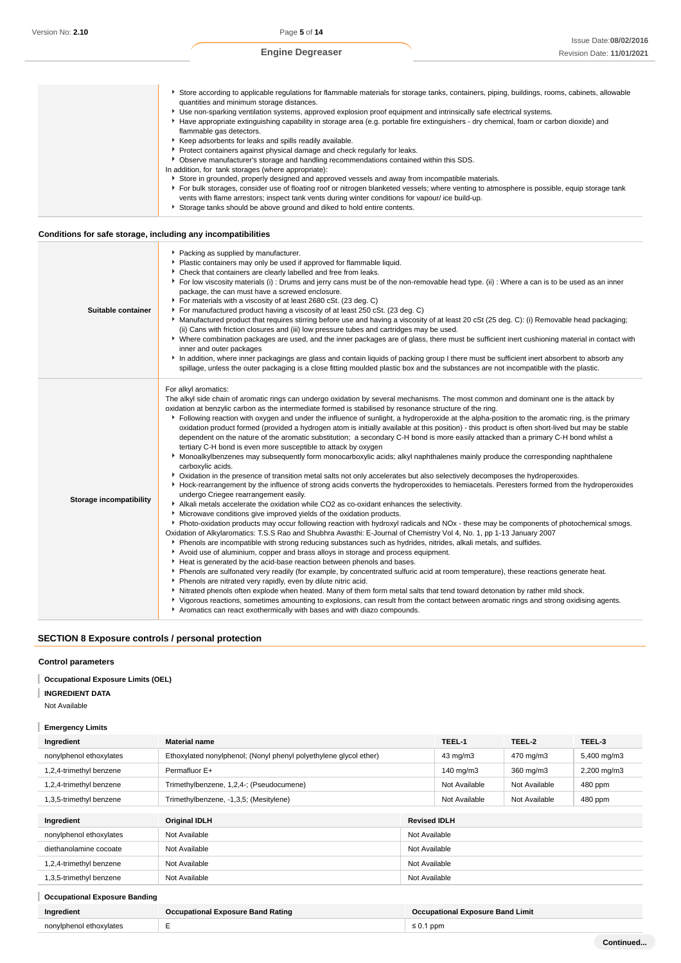| Store according to applicable regulations for flammable materials for storage tanks, containers, piping, buildings, rooms, cabinets, allowable<br>quantities and minimum storage distances.<br>► Use non-sparking ventilation systems, approved explosion proof equipment and intrinsically safe electrical systems.        |
|-----------------------------------------------------------------------------------------------------------------------------------------------------------------------------------------------------------------------------------------------------------------------------------------------------------------------------|
|                                                                                                                                                                                                                                                                                                                             |
| Have appropriate extinguishing capability in storage area (e.g. portable fire extinguishers - dry chemical, foam or carbon dioxide) and<br>flammable gas detectors.                                                                                                                                                         |
| Keep adsorbents for leaks and spills readily available.                                                                                                                                                                                                                                                                     |
| Protect containers against physical damage and check regularly for leaks.                                                                                                                                                                                                                                                   |
| Observe manufacturer's storage and handling recommendations contained within this SDS.                                                                                                                                                                                                                                      |
| In addition, for tank storages (where appropriate):                                                                                                                                                                                                                                                                         |
| Store in grounded, properly designed and approved vessels and away from incompatible materials.                                                                                                                                                                                                                             |
| For bulk storages, consider use of floating roof or nitrogen blanketed vessels; where venting to atmosphere is possible, equip storage tank<br>vents with flame arrestors; inspect tank vents during winter conditions for vapour/ ice build-up.<br>Storage tanks should be above ground and diked to hold entire contents. |

## **Conditions for safe storage, including any incompatibilities**

| Suitable container             | Packing as supplied by manufacturer.<br>• Plastic containers may only be used if approved for flammable liquid.<br>• Check that containers are clearly labelled and free from leaks.<br>For low viscosity materials (i) : Drums and jerry cans must be of the non-removable head type. (ii) : Where a can is to be used as an inner<br>package, the can must have a screwed enclosure.<br>For materials with a viscosity of at least 2680 cSt. (23 deg. C)<br>For manufactured product having a viscosity of at least 250 cSt. (23 deg. C)<br>Manufactured product that requires stirring before use and having a viscosity of at least 20 cSt (25 deg. C): (i) Removable head packaging;<br>(ii) Cans with friction closures and (iii) low pressure tubes and cartridges may be used.<br>▶ Where combination packages are used, and the inner packages are of glass, there must be sufficient inert cushioning material in contact with<br>inner and outer packages<br>In addition, where inner packagings are glass and contain liquids of packing group I there must be sufficient inert absorbent to absorb any<br>spillage, unless the outer packaging is a close fitting moulded plastic box and the substances are not incompatible with the plastic.                                                                                                                                                                                                                                                                                                                                                                                                                                                                                                                                                                                                                                                                                                                                                                                                                                                                                                                                                                                                                                                                                                                                                                                                                                                                                                           |
|--------------------------------|------------------------------------------------------------------------------------------------------------------------------------------------------------------------------------------------------------------------------------------------------------------------------------------------------------------------------------------------------------------------------------------------------------------------------------------------------------------------------------------------------------------------------------------------------------------------------------------------------------------------------------------------------------------------------------------------------------------------------------------------------------------------------------------------------------------------------------------------------------------------------------------------------------------------------------------------------------------------------------------------------------------------------------------------------------------------------------------------------------------------------------------------------------------------------------------------------------------------------------------------------------------------------------------------------------------------------------------------------------------------------------------------------------------------------------------------------------------------------------------------------------------------------------------------------------------------------------------------------------------------------------------------------------------------------------------------------------------------------------------------------------------------------------------------------------------------------------------------------------------------------------------------------------------------------------------------------------------------------------------------------------------------------------------------------------------------------------------------------------------------------------------------------------------------------------------------------------------------------------------------------------------------------------------------------------------------------------------------------------------------------------------------------------------------------------------------------------------------------------------------------------------------------------------------------------------------|
| <b>Storage incompatibility</b> | For alkyl aromatics:<br>The alkyl side chain of aromatic rings can undergo oxidation by several mechanisms. The most common and dominant one is the attack by<br>oxidation at benzylic carbon as the intermediate formed is stabilised by resonance structure of the ring.<br>Following reaction with oxygen and under the influence of sunlight, a hydroperoxide at the alpha-position to the aromatic ring, is the primary<br>oxidation product formed (provided a hydrogen atom is initially available at this position) - this product is often short-lived but may be stable<br>dependent on the nature of the aromatic substitution; a secondary C-H bond is more easily attacked than a primary C-H bond whilst a<br>tertiary C-H bond is even more susceptible to attack by oxygen<br>Monoalkylbenzenes may subsequently form monocarboxylic acids; alkyl naphthalenes mainly produce the corresponding naphthalene<br>carboxylic acids.<br>> Oxidation in the presence of transition metal salts not only accelerates but also selectively decomposes the hydroperoxides.<br>Hock-rearrangement by the influence of strong acids converts the hydroperoxides to hemiacetals. Peresters formed from the hydroperoxides<br>undergo Criegee rearrangement easily.<br>Alkali metals accelerate the oxidation while CO2 as co-oxidant enhances the selectivity.<br>Microwave conditions give improved yields of the oxidation products.<br>▶ Photo-oxidation products may occur following reaction with hydroxyl radicals and NOx - these may be components of photochemical smogs.<br>Oxidation of Alkylaromatics: T.S.S Rao and Shubhra Awasthi: E-Journal of Chemistry Vol 4, No. 1, pp 1-13 January 2007<br>Phenols are incompatible with strong reducing substances such as hydrides, nitrides, alkali metals, and sulfides.<br>Avoid use of aluminium, copper and brass alloys in storage and process equipment.<br>Heat is generated by the acid-base reaction between phenols and bases.<br>▶ Phenols are sulfonated very readily (for example, by concentrated sulfuric acid at room temperature), these reactions generate heat.<br>Phenols are nitrated very rapidly, even by dilute nitric acid.<br>Nitrated phenols often explode when heated. Many of them form metal salts that tend toward detonation by rather mild shock.<br>▶ Vigorous reactions, sometimes amounting to explosions, can result from the contact between aromatic rings and strong oxidising agents.<br>Aromatics can react exothermically with bases and with diazo compounds. |

# **SECTION 8 Exposure controls / personal protection**

## **Control parameters**

# **Occupational Exposure Limits (OEL)**

**INGREDIENT DATA**

Not Available

| <b>Emergency Limits</b>                                                                           |                                                                   |                                |               |               |             |  |
|---------------------------------------------------------------------------------------------------|-------------------------------------------------------------------|--------------------------------|---------------|---------------|-------------|--|
| Ingredient                                                                                        | <b>Material name</b>                                              |                                | TEEL-1        | TEEL-2        | TEEL-3      |  |
| nonylphenol ethoxylates                                                                           | Ethoxylated nonylphenol; (Nonyl phenyl polyethylene glycol ether) |                                | 43 mg/m3      | 470 mg/m3     | 5,400 mg/m3 |  |
| 1,2,4-trimethyl benzene                                                                           | Permafluor E+                                                     |                                | 140 mg/m3     | 360 mg/m3     | 2,200 mg/m3 |  |
| 1,2,4-trimethyl benzene                                                                           | Trimethylbenzene, 1,2,4-; (Pseudocumene)                          | Not Available<br>Not Available |               |               | 480 ppm     |  |
| 1,3,5-trimethyl benzene                                                                           | Trimethylbenzene, -1,3,5; (Mesitylene)                            |                                | Not Available | Not Available | 480 ppm     |  |
| Ingredient                                                                                        | <b>Original IDLH</b><br><b>Revised IDLH</b>                       |                                |               |               |             |  |
| nonylphenol ethoxylates                                                                           | Not Available                                                     |                                | Not Available |               |             |  |
| diethanolamine cocoate                                                                            | Not Available<br>Not Available                                    |                                |               |               |             |  |
| 1,2,4-trimethyl benzene                                                                           | Not Available<br>Not Available                                    |                                |               |               |             |  |
| 1,3,5-trimethyl benzene                                                                           | Not Available<br>Not Available                                    |                                |               |               |             |  |
| <b>Occupational Exposure Banding</b>                                                              |                                                                   |                                |               |               |             |  |
| Ingredient<br><b>Occupational Exposure Band Rating</b><br><b>Occupational Exposure Band Limit</b> |                                                                   |                                |               |               |             |  |

nonylphenol ethoxylates **E** ≤ 0.1 ppm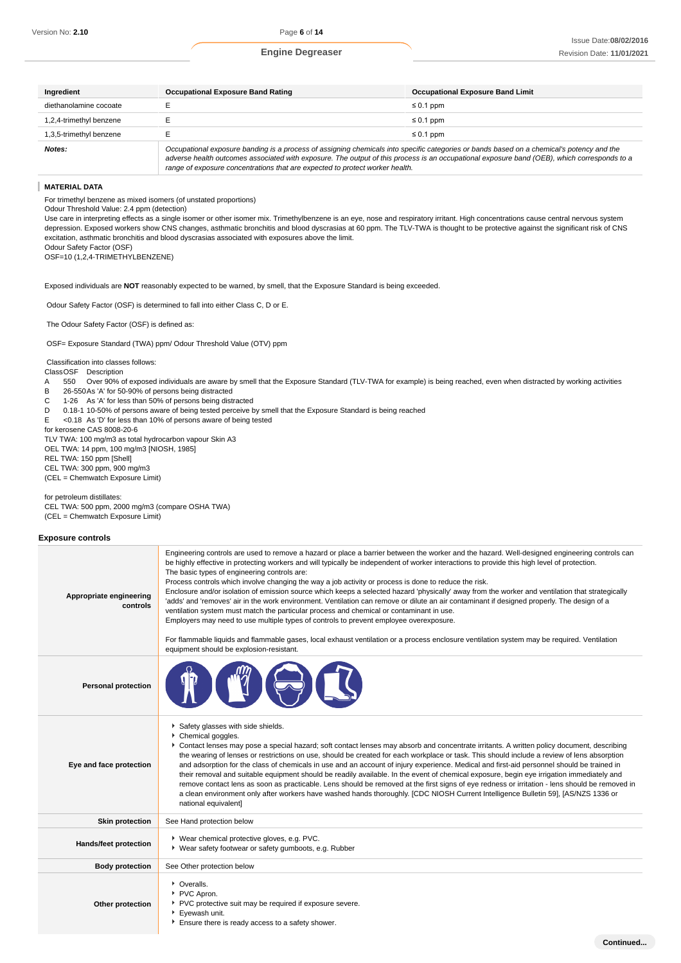**Continued...**

| Ingredient              | <b>Occupational Exposure Band Rating</b>                                                                                                                                                                                                                                                                                                                                 | <b>Occupational Exposure Band Limit</b> |  |
|-------------------------|--------------------------------------------------------------------------------------------------------------------------------------------------------------------------------------------------------------------------------------------------------------------------------------------------------------------------------------------------------------------------|-----------------------------------------|--|
| diethanolamine cocoate  |                                                                                                                                                                                                                                                                                                                                                                          | $\leq 0.1$ ppm                          |  |
| 1,2,4-trimethyl benzene |                                                                                                                                                                                                                                                                                                                                                                          | $\leq 0.1$ ppm                          |  |
| 1,3,5-trimethyl benzene |                                                                                                                                                                                                                                                                                                                                                                          | $\leq 0.1$ ppm                          |  |
| Notes:                  | Occupational exposure banding is a process of assigning chemicals into specific categories or bands based on a chemical's potency and the<br>adverse health outcomes associated with exposure. The output of this process is an occupational exposure band (OEB), which corresponds to a<br>range of exposure concentrations that are expected to protect worker health. |                                         |  |

#### **MATERIAL DATA**

For trimethyl benzene as mixed isomers (of unstated proportions)

Odour Threshold Value: 2.4 ppm (detection)

Use care in interpreting effects as a single isomer or other isomer mix. Trimethylbenzene is an eye, nose and respiratory irritant. High concentrations cause central nervous system depression. Exposed workers show CNS changes, asthmatic bronchitis and blood dyscrasias at 60 ppm. The TLV-TWA is thought to be protective against the significant risk of CNS excitation, asthmatic bronchitis and blood dyscrasias associated with exposures above the limit.

Odour Safety Factor (OSF) OSF=10 (1,2,4-TRIMETHYLBENZENE)

Exposed individuals are **NOT** reasonably expected to be warned, by smell, that the Exposure Standard is being exceeded.

Odour Safety Factor (OSF) is determined to fall into either Class C, D or E.

The Odour Safety Factor (OSF) is defined as:

OSF= Exposure Standard (TWA) ppm/ Odour Threshold Value (OTV) ppm

Classification into classes follows:

ClassOSF Description

- A 550 Over 90% of exposed individuals are aware by smell that the Exposure Standard (TLV-TWA for example) is being reached, even when distracted by working activities
- B 26-550As 'A' for 50-90% of persons being distracted
- C 1-26 As 'A' for less than 50% of persons being distracted
- D 0.18-1 10-50% of persons aware of being tested perceive by smell that the Exposure Standard is being reached

E <0.18 As 'D' for less than 10% of persons aware of being tested

for kerosene CAS 8008-20-6 TLV TWA: 100 mg/m3 as total hydrocarbon vapour Skin A3

OEL TWA: 14 ppm, 100 mg/m3 [NIOSH, 1985]

REL TWA: 150 ppm [Shell]

CEL TWA: 300 ppm, 900 mg/m3

(CEL = Chemwatch Exposure Limit)

for petroleum distillates:

CEL TWA: 500 ppm, 2000 mg/m3 (compare OSHA TWA) (CEL = Chemwatch Exposure Limit)

#### **Exposure controls**

| Appropriate engineering<br>controls | Engineering controls are used to remove a hazard or place a barrier between the worker and the hazard. Well-designed engineering controls can<br>be highly effective in protecting workers and will typically be independent of worker interactions to provide this high level of protection.<br>The basic types of engineering controls are:<br>Process controls which involve changing the way a job activity or process is done to reduce the risk.<br>Enclosure and/or isolation of emission source which keeps a selected hazard 'physically' away from the worker and ventilation that strategically<br>'adds' and 'removes' air in the work environment. Ventilation can remove or dilute an air contaminant if designed properly. The design of a<br>ventilation system must match the particular process and chemical or contaminant in use.<br>Employers may need to use multiple types of controls to prevent employee overexposure.<br>For flammable liquids and flammable gases, local exhaust ventilation or a process enclosure ventilation system may be required. Ventilation<br>equipment should be explosion-resistant. |  |  |
|-------------------------------------|--------------------------------------------------------------------------------------------------------------------------------------------------------------------------------------------------------------------------------------------------------------------------------------------------------------------------------------------------------------------------------------------------------------------------------------------------------------------------------------------------------------------------------------------------------------------------------------------------------------------------------------------------------------------------------------------------------------------------------------------------------------------------------------------------------------------------------------------------------------------------------------------------------------------------------------------------------------------------------------------------------------------------------------------------------------------------------------------------------------------------------------------|--|--|
| <b>Personal protection</b>          |                                                                                                                                                                                                                                                                                                                                                                                                                                                                                                                                                                                                                                                                                                                                                                                                                                                                                                                                                                                                                                                                                                                                            |  |  |
| Eye and face protection             | Safety glasses with side shields.<br>Chemical goggles.<br>Contact lenses may pose a special hazard; soft contact lenses may absorb and concentrate irritants. A written policy document, describing<br>the wearing of lenses or restrictions on use, should be created for each workplace or task. This should include a review of lens absorption<br>and adsorption for the class of chemicals in use and an account of injury experience. Medical and first-aid personnel should be trained in<br>their removal and suitable equipment should be readily available. In the event of chemical exposure, begin eye irrigation immediately and<br>remove contact lens as soon as practicable. Lens should be removed at the first signs of eye redness or irritation - lens should be removed in<br>a clean environment only after workers have washed hands thoroughly. [CDC NIOSH Current Intelligence Bulletin 59], [AS/NZS 1336 or<br>national equivalent]                                                                                                                                                                              |  |  |
| <b>Skin protection</b>              | See Hand protection below                                                                                                                                                                                                                                                                                                                                                                                                                                                                                                                                                                                                                                                                                                                                                                                                                                                                                                                                                                                                                                                                                                                  |  |  |
| Hands/feet protection               | ▶ Wear chemical protective gloves, e.g. PVC.<br>▶ Wear safety footwear or safety gumboots, e.g. Rubber                                                                                                                                                                                                                                                                                                                                                                                                                                                                                                                                                                                                                                                                                                                                                                                                                                                                                                                                                                                                                                     |  |  |
| <b>Body protection</b>              | See Other protection below                                                                                                                                                                                                                                                                                                                                                                                                                                                                                                                                                                                                                                                                                                                                                                                                                                                                                                                                                                                                                                                                                                                 |  |  |
| Other protection                    | • Overalls.<br>PVC Apron.<br>PVC protective suit may be required if exposure severe.<br>Evewash unit.<br>Ensure there is ready access to a safety shower.                                                                                                                                                                                                                                                                                                                                                                                                                                                                                                                                                                                                                                                                                                                                                                                                                                                                                                                                                                                  |  |  |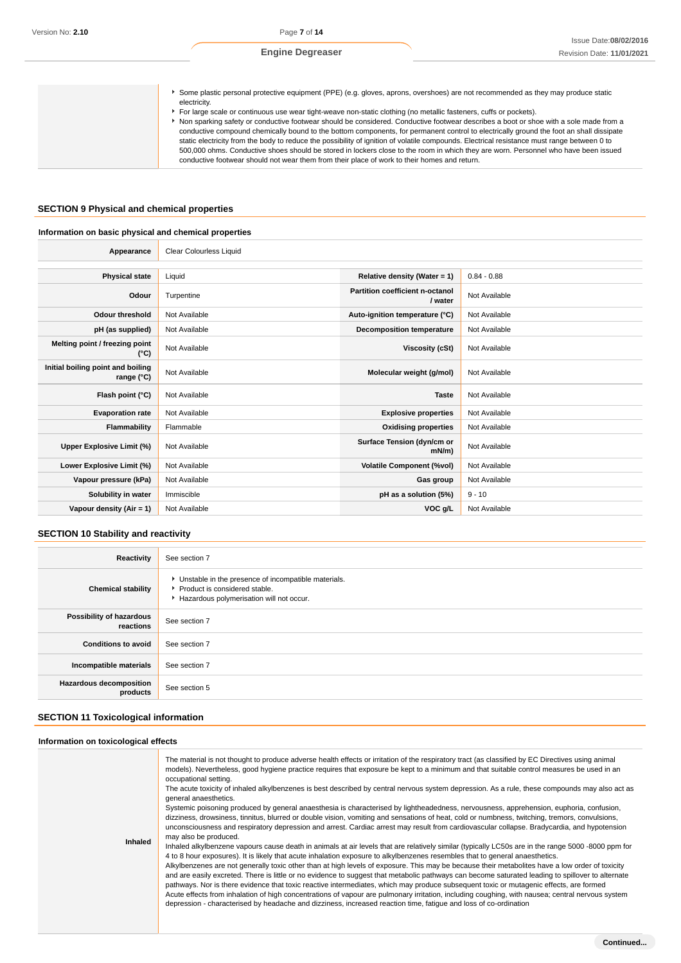| Some plastic personal protective equipment (PPE) (e.g. gloves, aprons, overshoes) are not recommended as they may produce static<br>electricity. |
|--------------------------------------------------------------------------------------------------------------------------------------------------|
| For large scale or continuous use wear tight-weave non-static clothing (no metallic fasteners, cuffs or pockets).                                |
| Non sparking safety or conductive footwear should be considered. Conductive footwear describes a boot or shoe with a sole made from a            |
| conductive compound chemically bound to the bottom components, for permanent control to electrically ground the foot an shall dissipate          |
| static electricity from the body to reduce the possibility of ignition of volatile compounds. Electrical resistance must range between 0 to      |
| 500,000 ohms. Conductive shoes should be stored in lockers close to the room in which they are worn. Personnel who have been issued              |
| conductive footwear should not wear them from their place of work to their homes and return.                                                     |

# **SECTION 9 Physical and chemical properties**

# **Information on basic physical and chemical properties**

| Appearance                                      | <b>Clear Colourless Liquid</b> |                                            |               |
|-------------------------------------------------|--------------------------------|--------------------------------------------|---------------|
|                                                 |                                |                                            |               |
| <b>Physical state</b>                           | Liquid                         | Relative density (Water = 1)               | $0.84 - 0.88$ |
| Odour                                           | Turpentine                     | Partition coefficient n-octanol<br>/ water | Not Available |
| Odour threshold                                 | Not Available                  | Auto-ignition temperature (°C)             | Not Available |
| pH (as supplied)                                | Not Available                  | <b>Decomposition temperature</b>           | Not Available |
| Melting point / freezing point<br>(°C)          | Not Available                  | Viscosity (cSt)                            | Not Available |
| Initial boiling point and boiling<br>range (°C) | Not Available                  | Molecular weight (g/mol)                   | Not Available |
| Flash point (°C)                                | Not Available                  | <b>Taste</b>                               | Not Available |
| <b>Evaporation rate</b>                         | Not Available                  | <b>Explosive properties</b>                | Not Available |
| Flammability                                    | Flammable                      | <b>Oxidising properties</b>                | Not Available |
| Upper Explosive Limit (%)                       | Not Available                  | Surface Tension (dyn/cm or<br>$mN/m$ )     | Not Available |
| Lower Explosive Limit (%)                       | Not Available                  | <b>Volatile Component (%vol)</b>           | Not Available |
| Vapour pressure (kPa)                           | Not Available                  | Gas group                                  | Not Available |
| Solubility in water                             | Immiscible                     | pH as a solution (5%)                      | $9 - 10$      |
| Vapour density $(Air = 1)$                      | Not Available                  | VOC g/L                                    | Not Available |

# **SECTION 10 Stability and reactivity**

| Reactivity                            | See section 7                                                                                                                        |
|---------------------------------------|--------------------------------------------------------------------------------------------------------------------------------------|
| <b>Chemical stability</b>             | • Unstable in the presence of incompatible materials.<br>▶ Product is considered stable.<br>Hazardous polymerisation will not occur. |
| Possibility of hazardous<br>reactions | See section 7                                                                                                                        |
| <b>Conditions to avoid</b>            | See section 7                                                                                                                        |
| Incompatible materials                | See section 7                                                                                                                        |
| Hazardous decomposition<br>products   | See section 5                                                                                                                        |

# **SECTION 11 Toxicological information**

## **Information on toxicological effects**

| Inhaled | The material is not thought to produce adverse health effects or irritation of the respiratory tract (as classified by EC Directives using animal<br>models). Nevertheless, good hygiene practice requires that exposure be kept to a minimum and that suitable control measures be used in an<br>occupational setting.<br>The acute toxicity of inhaled alkylbenzenes is best described by central nervous system depression. As a rule, these compounds may also act as<br>general anaesthetics.<br>Systemic poisoning produced by general anaesthesia is characterised by lightheadedness, nervousness, apprehension, euphoria, confusion,<br>dizziness, drowsiness, tinnitus, blurred or double vision, vomiting and sensations of heat, cold or numbness, twitching, tremors, convulsions,<br>unconsciousness and respiratory depression and arrest. Cardiac arrest may result from cardiovascular collapse. Bradycardia, and hypotension<br>may also be produced.<br>Inhaled alkylbenzene vapours cause death in animals at air levels that are relatively similar (typically LC50s are in the range 5000 -8000 ppm for<br>4 to 8 hour exposures). It is likely that acute inhalation exposure to alkylbenzenes resembles that to general anaesthetics.<br>Alkylbenzenes are not generally toxic other than at high levels of exposure. This may be because their metabolites have a low order of toxicity<br>and are easily excreted. There is little or no evidence to suggest that metabolic pathways can become saturated leading to spillover to alternate<br>pathways. Nor is there evidence that toxic reactive intermediates, which may produce subsequent toxic or mutagenic effects, are formed<br>Acute effects from inhalation of high concentrations of vapour are pulmonary irritation, including coughing, with nausea; central nervous system<br>depression - characterised by headache and dizziness, increased reaction time, fatique and loss of co-ordination |
|---------|-----------------------------------------------------------------------------------------------------------------------------------------------------------------------------------------------------------------------------------------------------------------------------------------------------------------------------------------------------------------------------------------------------------------------------------------------------------------------------------------------------------------------------------------------------------------------------------------------------------------------------------------------------------------------------------------------------------------------------------------------------------------------------------------------------------------------------------------------------------------------------------------------------------------------------------------------------------------------------------------------------------------------------------------------------------------------------------------------------------------------------------------------------------------------------------------------------------------------------------------------------------------------------------------------------------------------------------------------------------------------------------------------------------------------------------------------------------------------------------------------------------------------------------------------------------------------------------------------------------------------------------------------------------------------------------------------------------------------------------------------------------------------------------------------------------------------------------------------------------------------------------------------------------------------------------------------------------------------------------------|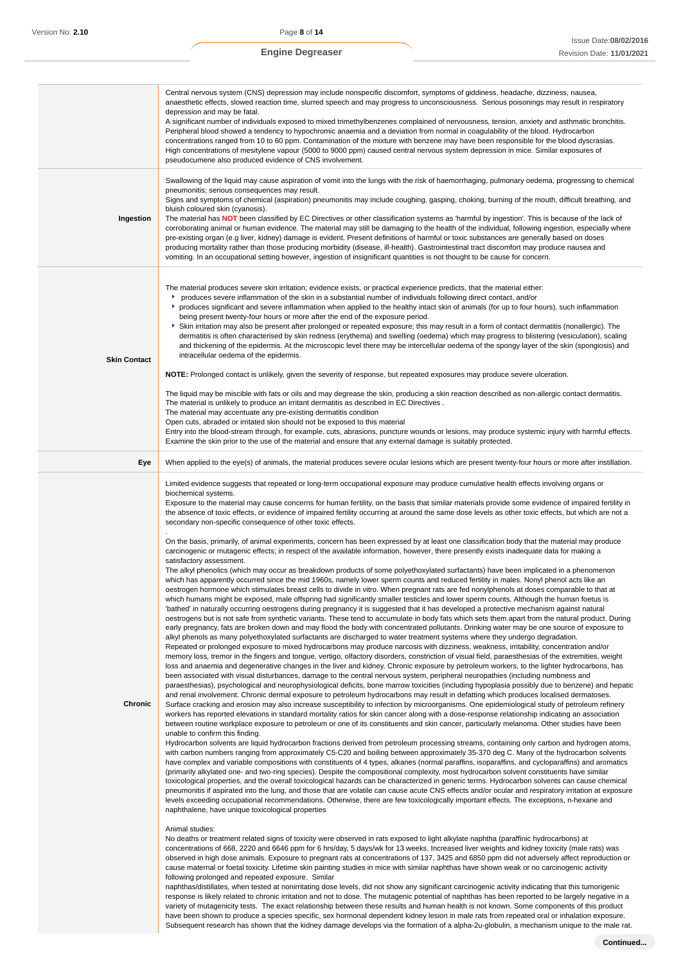|                     | Central nervous system (CNS) depression may include nonspecific discomfort, symptoms of giddiness, headache, dizziness, nausea,<br>anaesthetic effects, slowed reaction time, slurred speech and may progress to unconsciousness. Serious poisonings may result in respiratory<br>depression and may be fatal.<br>A significant number of individuals exposed to mixed trimethylbenzenes complained of nervousness, tension, anxiety and asthmatic bronchitis.<br>Peripheral blood showed a tendency to hypochromic anaemia and a deviation from normal in coagulability of the blood. Hydrocarbon<br>concentrations ranged from 10 to 60 ppm. Contamination of the mixture with benzene may have been responsible for the blood dyscrasias.<br>High concentrations of mesitylene vapour (5000 to 9000 ppm) caused central nervous system depression in mice. Similar exposures of<br>pseudocumene also produced evidence of CNS involvement.                                                                                                                                                                                                                                                                                                                                                                                                                                                                                                                                                                                                                                                                                                                                                                                                                                                                                                                                                                                                                                                                                                                                                                                                                                                                                                                                                                                                                                                                                                                                                                                                                                                                                                                                                                                                                                                                                                                                                                                                                                                                                                                                                                                                                                                                                                                                                                                                                                                                                                                                                                                                                                                                                                                                                                                                                                                                                                                                                                                                                                                                                                                                                                                                                                                                                                                                                                                                                                                                                                                                                                                                                                                                                                                                                                                                                                                                                                                                                                                                                                                                                                                                                                                                                                                                                                                                                                                                                                                                                                                                                                                                                                                                                                                                                                                                                                                                                                                                                                             |
|---------------------|---------------------------------------------------------------------------------------------------------------------------------------------------------------------------------------------------------------------------------------------------------------------------------------------------------------------------------------------------------------------------------------------------------------------------------------------------------------------------------------------------------------------------------------------------------------------------------------------------------------------------------------------------------------------------------------------------------------------------------------------------------------------------------------------------------------------------------------------------------------------------------------------------------------------------------------------------------------------------------------------------------------------------------------------------------------------------------------------------------------------------------------------------------------------------------------------------------------------------------------------------------------------------------------------------------------------------------------------------------------------------------------------------------------------------------------------------------------------------------------------------------------------------------------------------------------------------------------------------------------------------------------------------------------------------------------------------------------------------------------------------------------------------------------------------------------------------------------------------------------------------------------------------------------------------------------------------------------------------------------------------------------------------------------------------------------------------------------------------------------------------------------------------------------------------------------------------------------------------------------------------------------------------------------------------------------------------------------------------------------------------------------------------------------------------------------------------------------------------------------------------------------------------------------------------------------------------------------------------------------------------------------------------------------------------------------------------------------------------------------------------------------------------------------------------------------------------------------------------------------------------------------------------------------------------------------------------------------------------------------------------------------------------------------------------------------------------------------------------------------------------------------------------------------------------------------------------------------------------------------------------------------------------------------------------------------------------------------------------------------------------------------------------------------------------------------------------------------------------------------------------------------------------------------------------------------------------------------------------------------------------------------------------------------------------------------------------------------------------------------------------------------------------------------------------------------------------------------------------------------------------------------------------------------------------------------------------------------------------------------------------------------------------------------------------------------------------------------------------------------------------------------------------------------------------------------------------------------------------------------------------------------------------------------------------------------------------------------------------------------------------------------------------------------------------------------------------------------------------------------------------------------------------------------------------------------------------------------------------------------------------------------------------------------------------------------------------------------------------------------------------------------------------------------------------------------------------------------------------------------------------------------------------------------------------------------------------------------------------------------------------------------------------------------------------------------------------------------------------------------------------------------------------------------------------------------------------------------------------------------------------------------------------------------------------------------------------------------------------------------------------------------------------------------------------------------------------------------------------------------------------------------------------------------------------------------------------------------------------------------------------------------------------------------------------------------------------------------------------------------------------------------------------------------------------------------------------------------------------------------------------------------------------------------------------|
| Ingestion           | Swallowing of the liquid may cause aspiration of vomit into the lungs with the risk of haemorrhaging, pulmonary oedema, progressing to chemical<br>pneumonitis; serious consequences may result.<br>Signs and symptoms of chemical (aspiration) pneumonitis may include coughing, gasping, choking, burning of the mouth, difficult breathing, and<br>bluish coloured skin (cyanosis).<br>The material has NOT been classified by EC Directives or other classification systems as 'harmful by ingestion'. This is because of the lack of<br>corroborating animal or human evidence. The material may still be damaging to the health of the individual, following ingestion, especially where<br>pre-existing organ (e.g liver, kidney) damage is evident. Present definitions of harmful or toxic substances are generally based on doses<br>producing mortality rather than those producing morbidity (disease, ill-health). Gastrointestinal tract discomfort may produce nausea and<br>vomiting. In an occupational setting however, ingestion of insignificant quantities is not thought to be cause for concern.                                                                                                                                                                                                                                                                                                                                                                                                                                                                                                                                                                                                                                                                                                                                                                                                                                                                                                                                                                                                                                                                                                                                                                                                                                                                                                                                                                                                                                                                                                                                                                                                                                                                                                                                                                                                                                                                                                                                                                                                                                                                                                                                                                                                                                                                                                                                                                                                                                                                                                                                                                                                                                                                                                                                                                                                                                                                                                                                                                                                                                                                                                                                                                                                                                                                                                                                                                                                                                                                                                                                                                                                                                                                                                                                                                                                                                                                                                                                                                                                                                                                                                                                                                                                                                                                                                                                                                                                                                                                                                                                                                                                                                                                                                                                                                                                   |
| <b>Skin Contact</b> | The material produces severe skin irritation; evidence exists, or practical experience predicts, that the material either:<br>۰,<br>produces severe inflammation of the skin in a substantial number of individuals following direct contact, and/or<br>produces significant and severe inflammation when applied to the healthy intact skin of animals (for up to four hours), such inflammation<br>being present twenty-four hours or more after the end of the exposure period.<br>> Skin irritation may also be present after prolonged or repeated exposure; this may result in a form of contact dermatitis (nonallergic). The<br>dermatitis is often characterised by skin redness (erythema) and swelling (oedema) which may progress to blistering (vesiculation), scaling<br>and thickening of the epidermis. At the microscopic level there may be intercellular oedema of the spongy layer of the skin (spongiosis) and<br>intracellular oedema of the epidermis.<br>NOTE: Prolonged contact is unlikely, given the severity of response, but repeated exposures may produce severe ulceration.<br>The liquid may be miscible with fats or oils and may degrease the skin, producing a skin reaction described as non-allergic contact dermatitis.<br>The material is unlikely to produce an irritant dermatitis as described in EC Directives.<br>The material may accentuate any pre-existing dermatitis condition<br>Open cuts, abraded or irritated skin should not be exposed to this material<br>Entry into the blood-stream through, for example, cuts, abrasions, puncture wounds or lesions, may produce systemic injury with harmful effects.<br>Examine the skin prior to the use of the material and ensure that any external damage is suitably protected.                                                                                                                                                                                                                                                                                                                                                                                                                                                                                                                                                                                                                                                                                                                                                                                                                                                                                                                                                                                                                                                                                                                                                                                                                                                                                                                                                                                                                                                                                                                                                                                                                                                                                                                                                                                                                                                                                                                                                                                                                                                                                                                                                                                                                                                                                                                                                                                                                                                                                                                                                                                                                                                                                                                                                                                                                                                                                                                                                                                                                                                                                                                                                                                                                                                                                                                                                                                                                                                                                                                                                                                                                                                                                                                                                                                                                                                                                                                                                                                                                                                                                                                                       |
| Eye                 | When applied to the eye(s) of animals, the material produces severe ocular lesions which are present twenty-four hours or more after instillation.                                                                                                                                                                                                                                                                                                                                                                                                                                                                                                                                                                                                                                                                                                                                                                                                                                                                                                                                                                                                                                                                                                                                                                                                                                                                                                                                                                                                                                                                                                                                                                                                                                                                                                                                                                                                                                                                                                                                                                                                                                                                                                                                                                                                                                                                                                                                                                                                                                                                                                                                                                                                                                                                                                                                                                                                                                                                                                                                                                                                                                                                                                                                                                                                                                                                                                                                                                                                                                                                                                                                                                                                                                                                                                                                                                                                                                                                                                                                                                                                                                                                                                                                                                                                                                                                                                                                                                                                                                                                                                                                                                                                                                                                                                                                                                                                                                                                                                                                                                                                                                                                                                                                                                                                                                                                                                                                                                                                                                                                                                                                                                                                                                                                                                                                                                        |
| Chronic             | Limited evidence suggests that repeated or long-term occupational exposure may produce cumulative health effects involving organs or<br>biochemical systems.<br>Exposure to the material may cause concerns for human fertility, on the basis that similar materials provide some evidence of impaired fertility in<br>the absence of toxic effects, or evidence of impaired fertility occurring at around the same dose levels as other toxic effects, but which are not a<br>secondary non-specific consequence of other toxic effects.<br>On the basis, primarily, of animal experiments, concern has been expressed by at least one classification body that the material may produce<br>carcinogenic or mutagenic effects; in respect of the available information, however, there presently exists inadequate data for making a<br>satisfactory assessment.<br>The alkyl phenolics (which may occur as breakdown products of some polyethoxylated surfactants) have been implicated in a phenomenon<br>which has apparently occurred since the mid 1960s, namely lower sperm counts and reduced fertility in males. Nonyl phenol acts like an<br>oestrogen hormone which stimulates breast cells to divide in vitro. When pregnant rats are fed nonylphenols at doses comparable to that at<br>which humans might be exposed, male offspring had significantly smaller testicles and lower sperm counts. Although the human foetus is<br>'bathed' in naturally occurring oestrogens during pregnancy it is suggested that it has developed a protective mechanism against natural<br>oestrogens but is not safe from synthetic variants. These tend to accumulate in body fats which sets them apart from the natural product. During<br>early pregnancy, fats are broken down and may flood the body with concentrated pollutants. Drinking water may be one source of exposure to<br>alkyl phenols as many polyethoxylated surfactants are discharged to water treatment systems where they undergo degradation.<br>Repeated or prolonged exposure to mixed hydrocarbons may produce narcosis with dizziness, weakness, irritability, concentration and/or<br>memory loss, tremor in the fingers and tongue, vertigo, olfactory disorders, constriction of visual field, paraesthesias of the extremities, weight<br>loss and anaemia and degenerative changes in the liver and kidney. Chronic exposure by petroleum workers, to the lighter hydrocarbons, has<br>been associated with visual disturbances, damage to the central nervous system, peripheral neuropathies (including numbness and<br>paraesthesias), psychological and neurophysiological deficits, bone marrow toxicities (including hypoplasia possibly due to benzene) and hepatic<br>and renal involvement. Chronic dermal exposure to petroleum hydrocarbons may result in defatting which produces localised dermatoses.<br>Surface cracking and erosion may also increase susceptibility to infection by microorganisms. One epidemiological study of petroleum refinery<br>workers has reported elevations in standard mortality ratios for skin cancer along with a dose-response relationship indicating an association<br>between routine workplace exposure to petroleum or one of its constituents and skin cancer, particularly melanoma. Other studies have been<br>unable to confirm this finding.<br>Hydrocarbon solvents are liquid hydrocarbon fractions derived from petroleum processing streams, containing only carbon and hydrogen atoms,<br>with carbon numbers ranging from approximately C5-C20 and boiling between approximately 35-370 deg C. Many of the hydrocarbon solvents<br>have complex and variable compositions with constituents of 4 types, alkanes (normal paraffins, isoparaffins, and cycloparaffins) and aromatics<br>(primarily alkylated one- and two-ring species). Despite the compositional complexity, most hydrocarbon solvent constituents have similar<br>toxicological properties, and the overall toxicological hazards can be characterized in generic terms. Hydrocarbon solvents can cause chemical<br>pneumonitis if aspirated into the lung, and those that are volatile can cause acute CNS effects and/or ocular and respiratory irritation at exposure<br>levels exceeding occupational recommendations. Otherwise, there are few toxicologically important effects. The exceptions, n-hexane and<br>naphthalene, have unique toxicological properties<br>Animal studies:<br>No deaths or treatment related signs of toxicity were observed in rats exposed to light alkylate naphtha (paraffinic hydrocarbons) at<br>concentrations of 668, 2220 and 6646 ppm for 6 hrs/day, 5 days/wk for 13 weeks. Increased liver weights and kidney toxicity (male rats) was<br>observed in high dose animals. Exposure to pregnant rats at concentrations of 137, 3425 and 6850 ppm did not adversely affect reproduction or<br>cause maternal or foetal toxicity. Lifetime skin painting studies in mice with similar naphthas have shown weak or no carcinogenic activity<br>following prolonged and repeated exposure. Similar<br>naphthas/distillates, when tested at nonirritating dose levels, did not show any significant carcinogenic activity indicating that this tumorigenic<br>response is likely related to chronic irritation and not to dose. The mutagenic potential of naphthas has been reported to be largely negative in a<br>variety of mutagenicity tests. The exact relationship between these results and human health is not known. Some components of this product<br>have been shown to produce a species specific, sex hormonal dependent kidney lesion in male rats from repeated oral or inhalation exposure.<br>Subsequent research has shown that the kidney damage develops via the formation of a alpha-2u-globulin, a mechanism unique to the male rat. |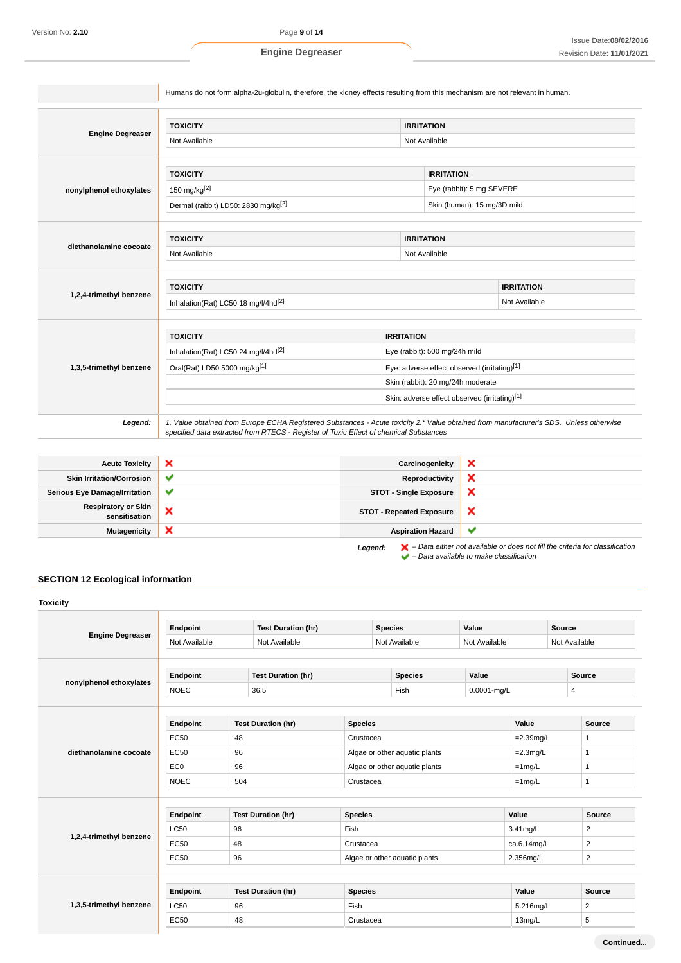|                         | <b>TOXICITY</b>                                 |                                                                                   |  | <b>IRRITATION</b>           |                   |  |
|-------------------------|-------------------------------------------------|-----------------------------------------------------------------------------------|--|-----------------------------|-------------------|--|
| <b>Engine Degreaser</b> | Not Available                                   |                                                                                   |  | Not Available               |                   |  |
|                         | <b>TOXICITY</b>                                 |                                                                                   |  | <b>IRRITATION</b>           |                   |  |
| nonylphenol ethoxylates | 150 mg/kg[2]                                    |                                                                                   |  | Eye (rabbit): 5 mg SEVERE   |                   |  |
|                         | Dermal (rabbit) LD50: 2830 mg/kg <sup>[2]</sup> |                                                                                   |  | Skin (human): 15 mg/3D mild |                   |  |
|                         |                                                 |                                                                                   |  |                             |                   |  |
| diethanolamine cocoate  | <b>TOXICITY</b>                                 |                                                                                   |  | <b>IRRITATION</b>           |                   |  |
|                         | Not Available<br>Not Available                  |                                                                                   |  |                             |                   |  |
|                         |                                                 |                                                                                   |  |                             |                   |  |
| 1,2,4-trimethyl benzene | <b>TOXICITY</b>                                 |                                                                                   |  |                             | <b>IRRITATION</b> |  |
|                         | Inhalation(Rat) LC50 18 mg/l/4hd <sup>[2]</sup> |                                                                                   |  |                             | Not Available     |  |
|                         | <b>TOXICITY</b>                                 |                                                                                   |  |                             |                   |  |
|                         | Inhalation(Rat) LC50 24 mg/l/4hd <sup>[2]</sup> | <b>IRRITATION</b>                                                                 |  |                             |                   |  |
| 1,3,5-trimethyl benzene | Oral(Rat) LD50 5000 mg/kg[1]                    | Eye (rabbit): 500 mg/24h mild                                                     |  |                             |                   |  |
|                         |                                                 | Eye: adverse effect observed (irritating)[1]<br>Skin (rabbit): 20 mg/24h moderate |  |                             |                   |  |
|                         |                                                 | Skin: adverse effect observed (irritating)[1]                                     |  |                             |                   |  |

| <b>Acute Toxicity</b>                       | ×            | Carcinogenicity                 | ́                                                                                                                                                                   |
|---------------------------------------------|--------------|---------------------------------|---------------------------------------------------------------------------------------------------------------------------------------------------------------------|
| <b>Skin Irritation/Corrosion</b>            | v            | Reproductivity                  | ́                                                                                                                                                                   |
| <b>Serious Eye Damage/Irritation</b>        | $\checkmark$ | <b>STOT - Single Exposure</b>   | ∽                                                                                                                                                                   |
| <b>Respiratory or Skin</b><br>sensitisation | ×            | <b>STOT - Repeated Exposure</b> | ж                                                                                                                                                                   |
| <b>Mutagenicity</b>                         | ×            | <b>Aspiration Hazard</b>        | v                                                                                                                                                                   |
|                                             |              | Legend:                         | $\blacktriangleright$ - Data either not available or does not fill the criteria for classification<br>$\blacktriangleright$ - Data available to make classification |

# **SECTION 12 Ecological information**

|                         | Endpoint        | <b>Test Duration (hr)</b> |                           | <b>Species</b>                |                               | Value       |               | <b>Source</b>  |                |  |
|-------------------------|-----------------|---------------------------|---------------------------|-------------------------------|-------------------------------|-------------|---------------|----------------|----------------|--|
| <b>Engine Degreaser</b> | Not Available   |                           | Not Available             |                               | Not Available                 |             | Not Available |                | Not Available  |  |
|                         | Endpoint        |                           | <b>Test Duration (hr)</b> |                               | <b>Species</b>                | Value       |               |                | Source         |  |
| nonylphenol ethoxylates | <b>NOEC</b>     |                           | 36.5                      |                               | Fish                          | 0.0001-mg/L |               | $\overline{4}$ |                |  |
|                         | Endpoint        |                           | <b>Test Duration (hr)</b> | <b>Species</b>                |                               |             | Value         |                | Source         |  |
|                         | <b>EC50</b>     | 48                        |                           |                               | Crustacea                     |             | $=2.39mg/L$   |                | 1              |  |
| diethanolamine cocoate  | <b>EC50</b>     | 96                        |                           | Algae or other aquatic plants |                               |             | $=2.3$ mg/L   |                | 1              |  |
|                         | EC <sub>0</sub> | 96                        |                           | Algae or other aquatic plants |                               |             | $=1$ mg/L     |                | 1              |  |
|                         | <b>NOEC</b>     | 504                       |                           | Crustacea                     |                               |             | $=1$ mg/L     |                | $\mathbf{1}$   |  |
|                         | Endpoint        |                           | <b>Test Duration (hr)</b> | <b>Species</b>                |                               |             | Value         |                | <b>Source</b>  |  |
|                         | <b>LC50</b>     | 96                        |                           |                               | Fish                          |             |               |                | 2              |  |
| 1,2,4-trimethyl benzene | <b>EC50</b>     | 48                        |                           |                               | Crustacea                     |             |               |                | $\overline{2}$ |  |
|                         | <b>EC50</b>     | 96                        |                           |                               | Algae or other aquatic plants |             | 2.356mg/L     |                | $\overline{c}$ |  |
|                         | Endpoint        |                           | <b>Test Duration (hr)</b> | <b>Species</b>                |                               |             | Value         |                | Source         |  |
| 1,3,5-trimethyl benzene | <b>LC50</b>     | 96                        |                           | Fish                          |                               |             | 5.216mg/L     |                | 2              |  |
|                         | <b>EC50</b>     | 48                        |                           | Crustacea                     |                               |             | 13mg/L        |                | 5              |  |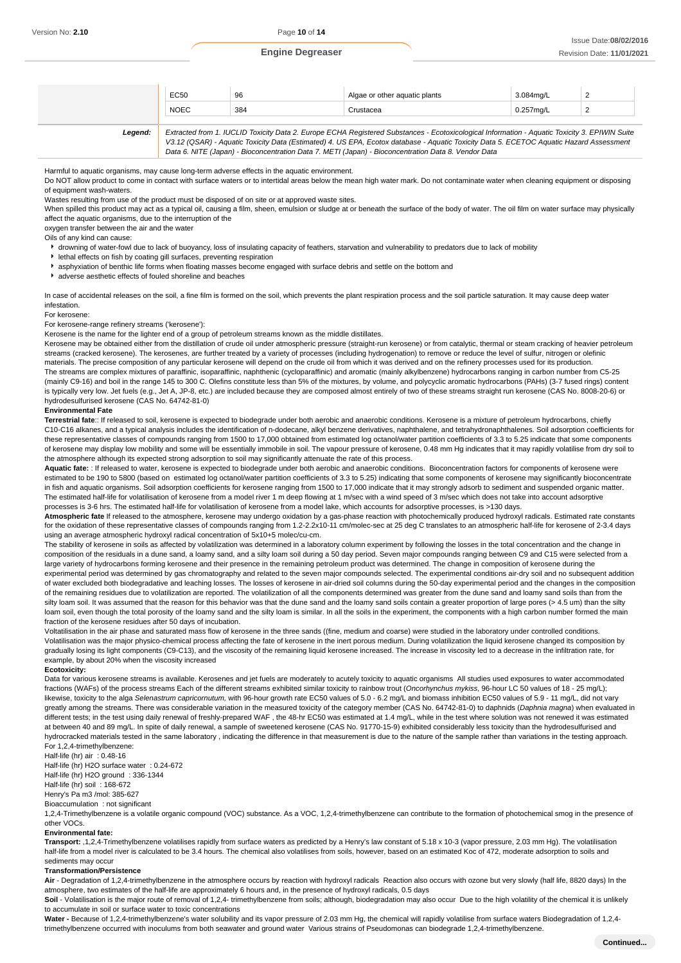| EC50<br>∸ບບບ<br>. | 96<br>$\sim$ | other aquatic plants<br>Algar | $\sim$ 0.0 $\sim$<br>34ma/l | - |
|-------------------|--------------|-------------------------------|-----------------------------|---|
| <b>NOEC</b>       | 384          | `rustacea                     | /ma/L                       |   |

**Legend:** Extracted from 1. IUCLID Toxicity Data 2. Europe ECHA Registered Substances - Ecotoxicological Information - Aquatic Toxicity 3. EPIWIN Suite V3.12 (QSAR) - Aquatic Toxicity Data (Estimated) 4. US EPA, Ecotox database - Aquatic Toxicity Data 5. ECETOC Aquatic Hazard Assessment Data 6. NITE (Japan) - Bioconcentration Data 7. METI (Japan) - Bioconcentration Data 8. Vendor Data

Harmful to aquatic organisms, may cause long-term adverse effects in the aquatic environment.

Do NOT allow product to come in contact with surface waters or to intertidal areas below the mean high water mark. Do not contaminate water when cleaning equipment or disposing of equipment wash-waters.

Wastes resulting from use of the product must be disposed of on site or at approved waste sites.

When spilled this product may act as a typical oil, causing a film, sheen, emulsion or sludge at or beneath the surface of the body of water. The oil film on water surface may physically affect the aquatic organisms, due to the interruption of the

oxygen transfer between the air and the water

Oils of any kind can cause:

- drowning of water-fowl due to lack of buoyancy, loss of insulating capacity of feathers, starvation and vulnerability to predators due to lack of mobility
- lethal effects on fish by coating gill surfaces, preventing respiration
- asphyxiation of benthic life forms when floating masses become engaged with surface debris and settle on the bottom and
- adverse aesthetic effects of fouled shoreline and beaches

In case of accidental releases on the soil, a fine film is formed on the soil, which prevents the plant respiration process and the soil particle saturation. It may cause deep water infestation.

For kerosene:

For kerosene-range refinery streams ('kerosene'):

Kerosene is the name for the lighter end of a group of petroleum streams known as the middle distillates.

Kerosene may be obtained either from the distillation of crude oil under atmospheric pressure (straight-run kerosene) or from catalytic, thermal or steam cracking of heavier petroleum streams (cracked kerosene). The kerosenes, are further treated by a variety of processes (including hydrogenation) to remove or reduce the level of sulfur, nitrogen or olefinic materials. The precise composition of any particular kerosene will depend on the crude oil from which it was derived and on the refinery processes used for its production. The streams are complex mixtures of paraffinic, isoparaffinic, naphthenic (cycloparaffinic) and aromatic (mainly alkylbenzene) hydrocarbons ranging in carbon number from C5-25 (mainly C9-16) and boil in the range 145 to 300 C. Olefins constitute less than 5% of the mixtures, by volume, and polycyclic aromatic hydrocarbons (PAHs) (3-7 fused rings) content is typically very low. Jet fuels (e.g., Jet A, JP-8, etc.) are included because they are composed almost entirely of two of these streams straight run kerosene (CAS No. 8008-20-6) or hydrodesulfurised kerosene (CAS No. 64742-81-0)

#### **Environmental Fate**

**Terrestrial fate**:: If released to soil, kerosene is expected to biodegrade under both aerobic and anaerobic conditions. Kerosene is a mixture of petroleum hydrocarbons, chiefly C10-C16 alkanes, and a typical analysis includes the identification of n-dodecane, alkyl benzene derivatives, naphthalene, and tetrahydronaphthalenes. Soil adsorption coefficients for these representative classes of compounds ranging from 1500 to 17,000 obtained from estimated log octanol/water partition coefficients of 3.3 to 5.25 indicate that some components of kerosene may display low mobility and some will be essentially immobile in soil. The vapour pressure of kerosene, 0.48 mm Hg indicates that it may rapidly volatilise from dry soil to the atmosphere although its expected strong adsorption to soil may significantly attenuate the rate of this process.

**Aquatic fate:** : If released to water, kerosene is expected to biodegrade under both aerobic and anaerobic conditions. Bioconcentration factors for components of kerosene were estimated to be 190 to 5800 (based on estimated log octanol/water partition coefficients of 3.3 to 5.25) indicating that some components of kerosene may significantly bioconcentrate in fish and aquatic organisms. Soil adsorption coefficients for kerosene ranging from 1500 to 17,000 indicate that it may strongly adsorb to sediment and suspended organic matter. The estimated half-life for volatilisation of kerosene from a model river 1 m deep flowing at 1 m/sec with a wind speed of 3 m/sec which does not take into account adsorptive processes is 3-6 hrs. The estimated half-life for volatilisation of kerosene from a model lake, which accounts for adsorptive processes, is >130 days.

**Atmospheric fate** If released to the atmosphere, kerosene may undergo oxidation by a gas-phase reaction with photochemically produced hydroxyl radicals. Estimated rate constants for the oxidation of these representative classes of compounds ranging from 1.2-2.2x10-11 cm/molec-sec at 25 deg C translates to an atmospheric half-life for kerosene of 2-3.4 days using an average atmospheric hydroxyl radical concentration of 5x10+5 molec/cu-cm.

The stability of kerosene in soils as affected by volatilization was determined in a laboratory column experiment by following the losses in the total concentration and the change in composition of the residuals in a dune sand, a loamy sand, and a silty loam soil during a 50 day period. Seven major compounds ranging between C9 and C15 were selected from a large variety of hydrocarbons forming kerosene and their presence in the remaining petroleum product was determined. The change in composition of kerosene during the experimental period was determined by gas chromatography and related to the seven major compounds selected. The experimental conditions air-dry soil and no subsequent addition of water excluded both biodegradative and leaching losses. The losses of kerosene in air-dried soil columns during the 50-day experimental period and the changes in the composition of the remaining residues due to volatilization are reported. The volatilization of all the components determined was greater from the dune sand and loamy sand soils than from the silty loam soil. It was assumed that the reason for this behavior was that the dune sand and the loamy sand soils contain a greater proportion of large pores (> 4.5 um) than the silty loam soil, even though the total porosity of the loamy sand and the silty loam is similar. In all the soils in the experiment, the components with a high carbon number formed the main fraction of the kerosene residues after 50 days of incubation.

Voltatilisation in the air phase and saturated mass flow of kerosene in the three sands ((fine, medium and coarse) were studied in the laboratory under controlled conditions. Volatilisation was the major physico-chemical process affecting the fate of kerosene in the inert porous medium. During volatilization the liquid kerosene changed its composition by gradually losing its light components (C9-C13), and the viscosity of the remaining liquid kerosene increased. The increase in viscosity led to a decrease in the infiltration rate, for example, by about 20% when the viscosity increased

#### **Ecotoxicity:**

Data for various kerosene streams is available. Kerosenes and jet fuels are moderately to acutely toxicity to aquatic organisms All studies used exposures to water accommodated fractions (WAFs) of the process streams Each of the different streams exhibited similar toxicity to rainbow trout (Oncorhynchus mykiss, 96-hour LC 50 values of 18 - 25 mg/L); likewise, toxicity to the alga Selenastrum capricornutum, with 96-hour growth rate EC50 values of 5.0 - 6.2 mg/L and biomass inhibition EC50 values of 5.9 - 11 mg/L, did not vary greatly among the streams. There was considerable variation in the measured toxicity of the category member (CAS No. 64742-81-0) to daphnids (Daphnia magna) when evaluated in different tests; in the test using daily renewal of freshly-prepared WAF, the 48-hr EC50 was estimated at 1.4 mg/L, while in the test where solution was not renewed it was estimated at between 40 and 89 mg/L. In spite of daily renewal, a sample of sweetened kerosene (CAS No. 91770-15-9) exhibited considerably less toxicity than the hydrodesulfurised and hydrocracked materials tested in the same laboratory, indicating the difference in that measurement is due to the nature of the sample rather than variations in the testing approach. For 1,2,4-trimethylbenzene:

Half-life (hr) air : 0.48-16

Half-life (hr) H2O surface water : 0.24-672 Half-life (hr) H2O ground : 336-1344 Half-life (hr) soil : 168-672 Henry's Pa m3 /mol: 385-627

Bioaccumulation : not significant

1,2,4-Trimethylbenzene is a volatile organic compound (VOC) substance. As a VOC, 1,2,4-trimethylbenzene can contribute to the formation of photochemical smog in the presence of other VOCs.

#### **Environmental fate:**

**Transport:** ,1,2,4-Trimethylbenzene volatilises rapidly from surface waters as predicted by a Henry's law constant of 5.18 x 10-3 (vapor pressure, 2.03 mm Hg). The volatilisation half-life from a model river is calculated to be 3.4 hours. The chemical also volatilises from soils, however, based on an estimated Koc of 472, moderate adsorption to soils and sediments may occur

### **Transformation/Persistence**

Air - Degradation of 1.2.4-trimethylbenzene in the atmosphere occurs by reaction with hydroxyl radicals Reaction also occurs with ozone but very slowly (half life, 8820 days) In the atmosphere, two estimates of the half-life are approximately 6 hours and, in the presence of hydroxyl radicals, 0.5 days

Soil - Volatilisation is the major route of removal of 1,2,4- trimethylbenzene from soils; although, biodegradation may also occur. Due to the high volatility of the chemical it is unlikely to accumulate in soil or surface water to toxic concentrations

Water - Because of 1,2,4-trimethylbenzene's water solubility and its vapor pressure of 2.03 mm Hg, the chemical will rapidly volatilise from surface waters Biodegradation of 1,2,4trimethylbenzene occurred with inoculums from both seawater and ground water Various strains of Pseudomonas can biodegrade 1,2,4-trimethylbenzene.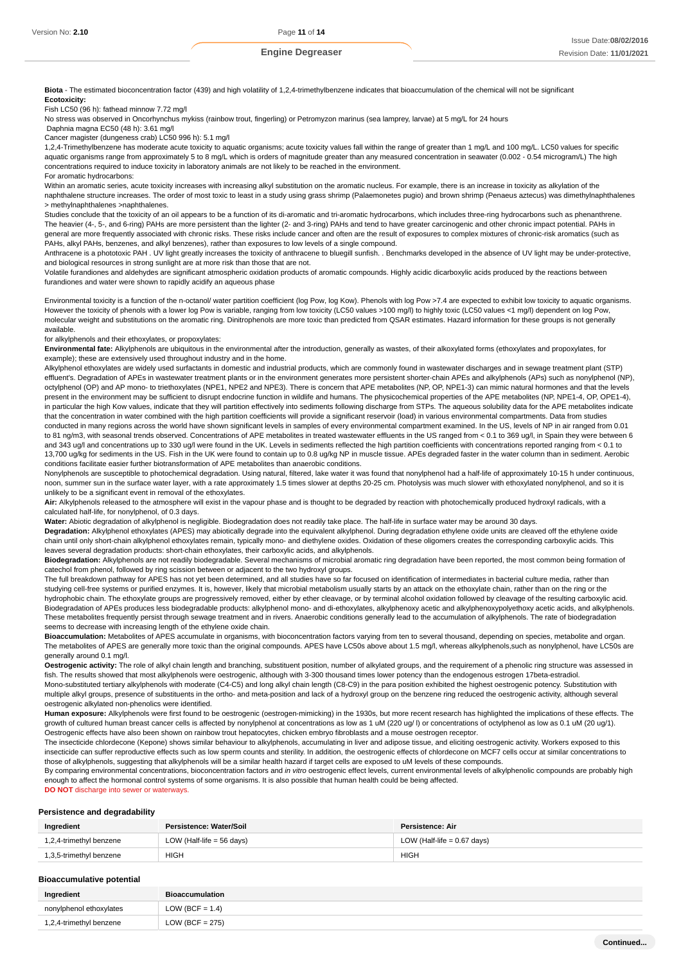**Biota** - The estimated bioconcentration factor (439) and high volatility of 1,2,4-trimethylbenzene indicates that bioaccumulation of the chemical will not be significant **Ecotoxicity:**

Fish LC50 (96 h): fathead minnow 7.72 mg/l

No stress was observed in Oncorhynchus mykiss (rainbow trout, fingerling) or Petromyzon marinus (sea lamprey, larvae) at 5 mg/L for 24 hours

 Daphnia magna EC50 (48 h): 3.61 mg/l Cancer magister (dungeness crab) LC50 996 h): 5.1 mg/l

1,2,4-Trimethylbenzene has moderate acute toxicity to aquatic organisms; acute toxicity values fall within the range of greater than 1 mg/L and 100 mg/L. LC50 values for specific aquatic organisms range from approximately 5 to 8 mg/L which is orders of magnitude greater than any measured concentration in seawater (0.002 - 0.54 microgram/L) The high concentrations required to induce toxicity in laboratory animals are not likely to be reached in the environment.

For aromatic hydrocarbons:

Within an aromatic series, acute toxicity increases with increasing alkyl substitution on the aromatic nucleus. For example, there is an increase in toxicity as alkylation of the naphthalene structure increases. The order of most toxic to least in a study using grass shrimp (Palaemonetes pugio) and brown shrimp (Penaeus aztecus) was dimethylnaphthalenes > methylnaphthalenes >naphthalenes.

Studies conclude that the toxicity of an oil appears to be a function of its di-aromatic and tri-aromatic hydrocarbons, which includes three-ring hydrocarbons such as phenanthrene. The heavier (4-, 5-, and 6-ring) PAHs are more persistent than the lighter (2- and 3-ring) PAHs and tend to have greater carcinogenic and other chronic impact potential. PAHs in general are more frequently associated with chronic risks. These risks include cancer and often are the result of exposures to complex mixtures of chronic-risk aromatics (such as PAHs, alkyl PAHs, benzenes, and alkyl benzenes), rather than exposures to low levels of a single compound.

Anthracene is a phototoxic PAH . UV light greatly increases the toxicity of anthracene to bluegill sunfish. . Benchmarks developed in the absence of UV light may be under-protective, and biological resources in strong sunlight are at more risk than those that are not.

Volatile furandiones and aldehydes are significant atmospheric oxidation products of aromatic compounds. Highly acidic dicarboxylic acids produced by the reactions between furandiones and water were shown to rapidly acidify an aqueous phase

Environmental toxicity is a function of the n-octanol/ water partition coefficient (log Pow, log Kow). Phenols with log Pow >7.4 are expected to exhibit low toxicity to aquatic organisms. However the toxicity of phenols with a lower log Pow is variable, ranging from low toxicity (LC50 values >100 mg/l) to highly toxic (LC50 values <1 mg/l) dependent on log Pow, molecular weight and substitutions on the aromatic ring. Dinitrophenols are more toxic than predicted from QSAR estimates. Hazard information for these groups is not generally available.

#### for alkylphenols and their ethoxylates, or propoxylates:

**Environmental fate:** Alkylphenols are ubiquitous in the environmental after the introduction, generally as wastes, of their alkoxylated forms (ethoxylates and propoxylates, for example); these are extensively used throughout industry and in the home.

Alkylphenol ethoxylates are widely used surfactants in domestic and industrial products, which are commonly found in wastewater discharges and in sewage treatment plant (STP) effluent's. Degradation of APEs in wastewater treatment plants or in the environment generates more persistent shorter-chain APEs and alkylphenols (APs) such as nonylphenol (NP), octylphenol (OP) and AP mono- to triethoxylates (NPE1, NPE2 and NPE3). There is concern that APE metabolites (NP, OP, NPE1-3) can mimic natural hormones and that the levels present in the environment may be sufficient to disrupt endocrine function in wildlife and humans. The physicochemical properties of the APE metabolites (NP, NPE1-4, OP, OPE1-4), in particular the high Kow values, indicate that they will partition effectively into sediments following discharge from STPs. The aqueous solubility data for the APE metabolites indicate that the concentration in water combined with the high partition coefficients will provide a significant reservoir (load) in various environmental compartments. Data from studies conducted in many regions across the world have shown significant levels in samples of every environmental compartment examined. In the US, levels of NP in air ranged from 0.01 to 81 ng/m3, with seasonal trends observed. Concentrations of APE metabolites in treated wastewater effluents in the US ranged from < 0.1 to 369 ug/l, in Spain they were between 6 and 343 ug/l and concentrations up to 330 ug/l were found in the UK. Levels in sediments reflected the high partition coefficients with concentrations reported ranging from < 0.1 to 13,700 ug/kg for sediments in the US. Fish in the UK were found to contain up to 0.8 ug/kg NP in muscle tissue. APEs degraded faster in the water column than in sediment. Aerobic conditions facilitate easier further biotransformation of APE metabolites than anaerobic conditions.

Nonylphenols are susceptible to photochemical degradation. Using natural, filtered, lake water it was found that nonylphenol had a half-life of approximately 10-15 h under continuous, noon, summer sun in the surface water layer, with a rate approximately 1.5 times slower at depths 20-25 cm. Photolysis was much slower with ethoxylated nonylphenol, and so it is unlikely to be a significant event in removal of the ethoxylates.

Air: Alkylphenols released to the atmosphere will exist in the vapour phase and is thought to be degraded by reaction with photochemically produced hydroxyl radicals, with a calculated half-life, for nonylphenol, of 0.3 days.

Water: Abiotic degradation of alkylphenol is negligible. Biodegradation does not readily take place. The half-life in surface water may be around 30 days.

**Degradation:** Alkylphenol ethoxylates (APES) may abiotically degrade into the equivalent alkylphenol. During degradation ethylene oxide units are cleaved off the ethylene oxide chain until only short-chain alkylphenol ethoxylates remain, typically mono- and diethylene oxides. Oxidation of these oligomers creates the corresponding carboxylic acids. This leaves several degradation products: short-chain ethoxylates, their carboxylic acids, and alkylphenols.

**Biodegradation:** Alkylphenols are not readily biodegradable. Several mechanisms of microbial aromatic ring degradation have been reported, the most common being formation of catechol from phenol, followed by ring scission between or adjacent to the two hydroxyl groups.

The full breakdown pathway for APES has not yet been determined, and all studies have so far focused on identification of intermediates in bacterial culture media, rather than studying cell-free systems or purified enzymes. It is, however, likely that microbial metabolism usually starts by an attack on the ethoxylate chain, rather than on the ring or the hydrophobic chain. The ethoxylate groups are progressively removed, either by ether cleavage, or by terminal alcohol oxidation followed by cleavage of the resulting carboxylic acid. Biodegradation of APEs produces less biodegradable products: alkylphenol mono- and di-ethoxylates, alkylphenoxy acetic and alkylphenoxypolyethoxy acetic acids, and alkylphenols. These metabolites frequently persist through sewage treatment and in rivers. Anaerobic conditions generally lead to the accumulation of alkylphenols. The rate of biodegradation seems to decrease with increasing length of the ethylene oxide chain.

**Bioaccumulation:** Metabolites of APES accumulate in organisms, with bioconcentration factors varying from ten to several thousand, depending on species, metabolite and organ. The metabolites of APES are generally more toxic than the original compounds. APES have LC50s above about 1.5 mg/l, whereas alkylphenols, such as nonylphenol, have LC50s are generally around 0.1 mg/l.

**Oestrogenic activity:** The role of alkyl chain length and branching, substituent position, number of alkylated groups, and the requirement of a phenolic ring structure was assessed in fish. The results showed that most alkylphenols were oestrogenic, although with 3-300 thousand times lower potency than the endogenous estrogen 17beta-estradiol.

Mono-substituted tertiary alkylphenols with moderate (C4-C5) and long alkyl chain length (C8-C9) in the para position exhibited the highest oestrogenic potency. Substitution with multiple alkyl groups, presence of substituents in the ortho- and meta-position and lack of a hydroxyl group on the benzene ring reduced the oestrogenic activity, although several oestrogenic alkylated non-phenolics were identified.

**Human exposure:** Alkylphenols were first found to be oestrogenic (oestrogen-mimicking) in the 1930s, but more recent research has highlighted the implications of these effects. The growth of cultured human breast cancer cells is affected by nonylphenol at concentrations as low as 1 uM (220 ug/ l) or concentrations of octylphenol as low as 0.1 uM (20 ug/1). Oestrogenic effects have also been shown on rainbow trout hepatocytes, chicken embryo fibroblasts and a mouse oestrogen receptor.

The insecticide chlordecone (Kepone) shows similar behaviour to alkylphenols, accumulating in liver and adipose tissue, and eliciting oestrogenic activity. Workers exposed to this insecticide can suffer reproductive effects such as low sperm counts and sterility. In addition, the oestrogenic effects of chlordecone on MCF7 cells occur at similar concentrations to those of alkylphenols, suggesting that alkylphenols will be a similar health hazard if target cells are exposed to uM levels of these compounds.

By comparing environmental concentrations, bioconcentration factors and in vitro oestrogenic effect levels, current environmental levels of alkylphenolic compounds are probably high enough to affect the hormonal control systems of some organisms. It is also possible that human health could be being affected. **DO NOT** discharge into sewer or waterways

# **Persistence and degradability**

| Ingredient              | Persistence: Water/Soil              | Persistence: Air              |
|-------------------------|--------------------------------------|-------------------------------|
| 1,2,4-trimethyl benzene | LOW (Half-life = $56 \text{ days}$ ) | LOW (Half-life $= 0.67$ days) |
| 1,3,5-trimethyl benzene | HIGH                                 | <b>HIGH</b>                   |

### **Bioaccumulative potential**

| Ingredient              | Bioaccumulation    |
|-------------------------|--------------------|
| nonylphenol ethoxylates | LOW (BCF = $1.4$ ) |
| 1,2,4-trimethyl benzene | LOW (BCF = $275$ ) |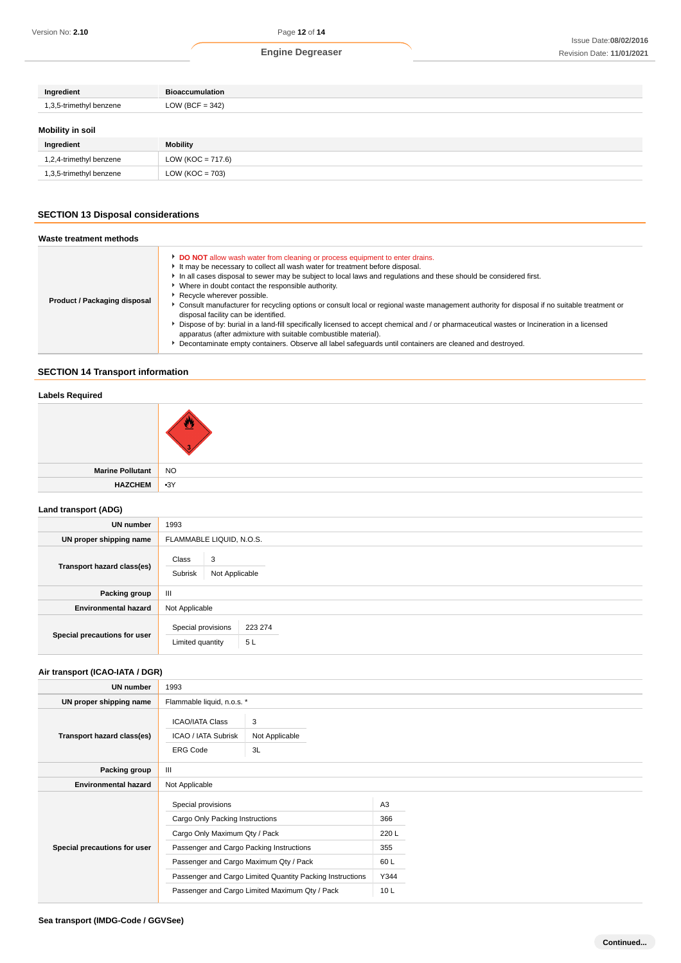| Ingredient              | <b>Bioaccumulation</b> |
|-------------------------|------------------------|
| 1,3,5-trimethyl benzene | LOW (BCF = $342$ )     |
| <b>Mobility in soil</b> |                        |
| Ingredient              | Mobility               |
| 1,2,4-trimethyl benzene | $LOW (KOC = 717.6)$    |

# **SECTION 13 Disposal considerations**

1,3,5-trimethyl benzene LOW (KOC = 703)

| Waste treatment methods      |                                                                                                                                                                                                                                                                                                                                                                                                                                                                                                                                                                                                                                                                                                                                                                                                                                                                                             |
|------------------------------|---------------------------------------------------------------------------------------------------------------------------------------------------------------------------------------------------------------------------------------------------------------------------------------------------------------------------------------------------------------------------------------------------------------------------------------------------------------------------------------------------------------------------------------------------------------------------------------------------------------------------------------------------------------------------------------------------------------------------------------------------------------------------------------------------------------------------------------------------------------------------------------------|
| Product / Packaging disposal | DO NOT allow wash water from cleaning or process equipment to enter drains.<br>It may be necessary to collect all wash water for treatment before disposal.<br>In all cases disposal to sewer may be subject to local laws and regulations and these should be considered first.<br>▶ Where in doubt contact the responsible authority.<br>Recycle wherever possible.<br>▶ Consult manufacturer for recycling options or consult local or regional waste management authority for disposal if no suitable treatment or<br>disposal facility can be identified.<br>Dispose of by: burial in a land-fill specifically licensed to accept chemical and / or pharmaceutical wastes or Incineration in a licensed<br>apparatus (after admixture with suitable combustible material).<br>Decontaminate empty containers. Observe all label safeguards until containers are cleaned and destroyed. |

# **SECTION 14 Transport information**

# **Labels Required**

| Marine Pollutant | NO |
|------------------|----|
| HAZCHEM 3Y       |    |

## **Land transport (ADG)**

| <b>UN number</b>             | 1993                                                    |  |  |
|------------------------------|---------------------------------------------------------|--|--|
| UN proper shipping name      | FLAMMABLE LIQUID, N.O.S.                                |  |  |
| Transport hazard class(es)   | Class<br>3<br>Subrisk<br>Not Applicable                 |  |  |
| Packing group                | $\mathbf{H}$                                            |  |  |
| <b>Environmental hazard</b>  | Not Applicable                                          |  |  |
| Special precautions for user | Special provisions<br>223 274<br>Limited quantity<br>5L |  |  |

# **Air transport (ICAO-IATA / DGR)**

| UN number                    | 1993                                                                                                                                                                                                                                                                                        |                           |                                                              |  |
|------------------------------|---------------------------------------------------------------------------------------------------------------------------------------------------------------------------------------------------------------------------------------------------------------------------------------------|---------------------------|--------------------------------------------------------------|--|
| UN proper shipping name      | Flammable liquid, n.o.s. *                                                                                                                                                                                                                                                                  |                           |                                                              |  |
| Transport hazard class(es)   | <b>ICAO/IATA Class</b><br><b>ICAO / IATA Subrisk</b><br><b>ERG Code</b>                                                                                                                                                                                                                     | 3<br>Not Applicable<br>3L |                                                              |  |
| Packing group                | $\mathbf{III}$                                                                                                                                                                                                                                                                              |                           |                                                              |  |
| <b>Environmental hazard</b>  | Not Applicable                                                                                                                                                                                                                                                                              |                           |                                                              |  |
| Special precautions for user | Special provisions<br>Cargo Only Packing Instructions<br>Cargo Only Maximum Qty / Pack<br>Passenger and Cargo Packing Instructions<br>Passenger and Cargo Maximum Qty / Pack<br>Passenger and Cargo Limited Quantity Packing Instructions<br>Passenger and Cargo Limited Maximum Qty / Pack |                           | A3<br>366<br>220 L<br>355<br>60 L<br>Y344<br>10 <sub>L</sub> |  |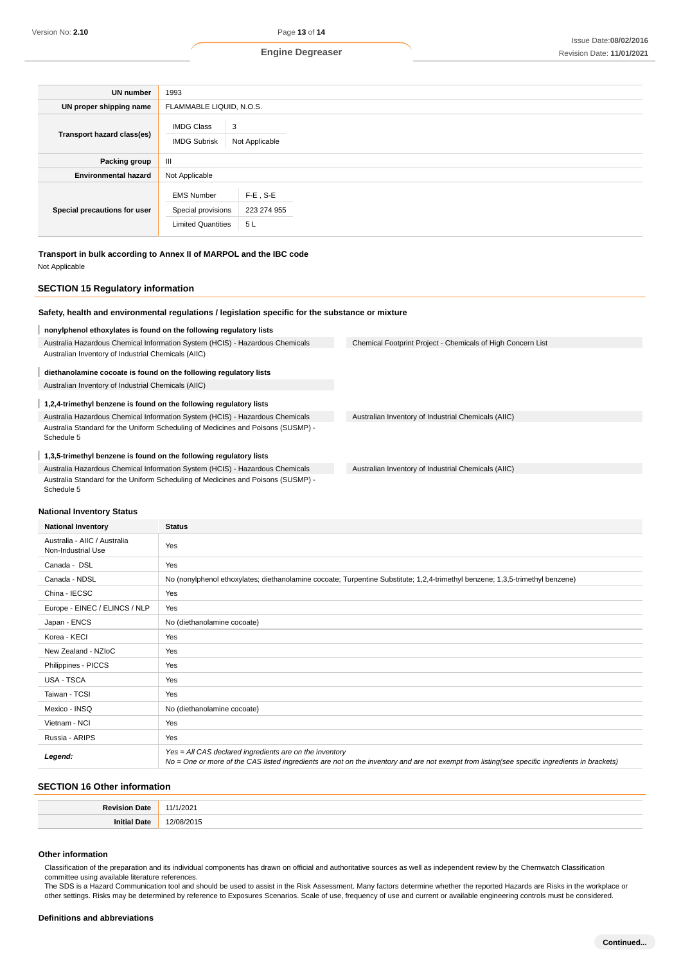| <b>UN number</b>             | 1993                                                                 |                                  |  |  |  |
|------------------------------|----------------------------------------------------------------------|----------------------------------|--|--|--|
| UN proper shipping name      | FLAMMABLE LIQUID, N.O.S.                                             |                                  |  |  |  |
| Transport hazard class(es)   | 3<br><b>IMDG Class</b><br><b>IMDG Subrisk</b>                        | Not Applicable                   |  |  |  |
| Packing group                | $\mathbf{III}$                                                       |                                  |  |  |  |
| <b>Environmental hazard</b>  | Not Applicable                                                       |                                  |  |  |  |
| Special precautions for user | <b>EMS Number</b><br>Special provisions<br><b>Limited Quantities</b> | $F-E$ , S-E<br>223 274 955<br>5L |  |  |  |

# **Transport in bulk according to Annex II of MARPOL and the IBC code**

Not Applicable

## **SECTION 15 Regulatory information**

# **Safety, health and environmental regulations / legislation specific for the substance or mixture**

## **nonylphenol ethoxylates is found on the following regulatory lists**

Australia Hazardous Chemical Information System (HCIS) - Hazardous Chemicals Australian Inventory of Industrial Chemicals (AIIC)

### **diethanolamine cocoate is found on the following regulatory lists**

Australian Inventory of Industrial Chemicals (AIIC)

### **1,2,4-trimethyl benzene is found on the following regulatory lists**

Australia Hazardous Chemical Information System (HCIS) - Hazardous Chemicals Australia Standard for the Uniform Scheduling of Medicines and Poisons (SUSMP) - Schedule 5

### **1,3,5-trimethyl benzene is found on the following regulatory lists**

Australia Hazardous Chemical Information System (HCIS) - Hazardous Chemicals Australia Standard for the Uniform Scheduling of Medicines and Poisons (SUSMP) - Schedule 5

Chemical Footprint Project - Chemicals of High Concern List

Australian Inventory of Industrial Chemicals (AIIC)

Australian Inventory of Industrial Chemicals (AIIC)

#### **National Inventory Status**

| <b>National Inventory</b>                          | <b>Status</b>                                                                                                                                                                                            |
|----------------------------------------------------|----------------------------------------------------------------------------------------------------------------------------------------------------------------------------------------------------------|
| Australia - AIIC / Australia<br>Non-Industrial Use | Yes                                                                                                                                                                                                      |
| Canada - DSL                                       | Yes                                                                                                                                                                                                      |
| Canada - NDSL                                      | No (nonylphenol ethoxylates; diethanolamine cocoate; Turpentine Substitute; 1,2,4-trimethyl benzene; 1,3,5-trimethyl benzene)                                                                            |
| China - IECSC                                      | Yes                                                                                                                                                                                                      |
| Europe - EINEC / ELINCS / NLP                      | Yes                                                                                                                                                                                                      |
| Japan - ENCS                                       | No (diethanolamine cocoate)                                                                                                                                                                              |
| Korea - KECI                                       | Yes                                                                                                                                                                                                      |
| New Zealand - NZIoC                                | Yes                                                                                                                                                                                                      |
| Philippines - PICCS                                | Yes                                                                                                                                                                                                      |
| USA - TSCA                                         | Yes                                                                                                                                                                                                      |
| Taiwan - TCSI                                      | Yes                                                                                                                                                                                                      |
| Mexico - INSQ                                      | No (diethanolamine cocoate)                                                                                                                                                                              |
| Vietnam - NCI                                      | Yes                                                                                                                                                                                                      |
| Russia - ARIPS                                     | Yes                                                                                                                                                                                                      |
| Legend:                                            | Yes = All CAS declared ingredients are on the inventory<br>No = One or more of the CAS listed ingredients are not on the inventory and are not exempt from listing(see specific ingredients in brackets) |

## **SECTION 16 Other information**

|          | 37 |
|----------|----|
| <br>m 11 | .  |

### **Other information**

Classification of the preparation and its individual components has drawn on official and authoritative sources as well as independent review by the Chemwatch Classification committee using available literature references.

The SDS is a Hazard Communication tool and should be used to assist in the Risk Assessment. Many factors determine whether the reported Hazards are Risks in the workplace or other settings. Risks may be determined by reference to Exposures Scenarios. Scale of use, frequency of use and current or available engineering controls must be considered.